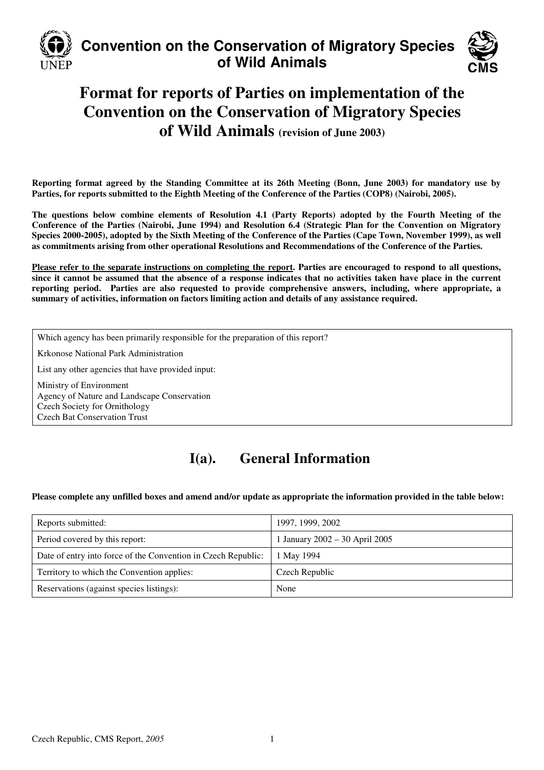

# **Convention on the Conservation of Migratory Species of Wild Animals**



# **Format for reports of Parties on implementation of the Convention on the Conservation of Migratory Species of Wild Animals (revision of June 2003)**

**Reporting format agreed by the Standing Committee at its 26th Meeting (Bonn, June 2003) for mandatory use by Parties, for reports submitted to the Eighth Meeting of the Conference of the Parties (COP8) (Nairobi, 2005).** 

**The questions below combine elements of Resolution 4.1 (Party Reports) adopted by the Fourth Meeting of the Conference of the Parties (Nairobi, June 1994) and Resolution 6.4 (Strategic Plan for the Convention on Migratory Species 2000-2005), adopted by the Sixth Meeting of the Conference of the Parties (Cape Town, November 1999), as well as commitments arising from other operational Resolutions and Recommendations of the Conference of the Parties.** 

**Please refer to the separate instructions on completing the report. Parties are encouraged to respond to all questions, since it cannot be assumed that the absence of a response indicates that no activities taken have place in the current reporting period. Parties are also requested to provide comprehensive answers, including, where appropriate, a summary of activities, information on factors limiting action and details of any assistance required.**

Which agency has been primarily responsible for the preparation of this report?

Krkonose National Park Administration

List any other agencies that have provided input:

Ministry of Environment Agency of Nature and Landscape Conservation Czech Society for Ornithology Czech Bat Conservation Trust

## **I(a). General Information**

**Please complete any unfilled boxes and amend and/or update as appropriate the information provided in the table below:** 

| Reports submitted:                                            | 1997, 1999, 2002               |
|---------------------------------------------------------------|--------------------------------|
| Period covered by this report:                                | 1 January 2002 – 30 April 2005 |
| Date of entry into force of the Convention in Czech Republic: | 1 May 1994                     |
| Territory to which the Convention applies:                    | Czech Republic                 |
| Reservations (against species listings):                      | None                           |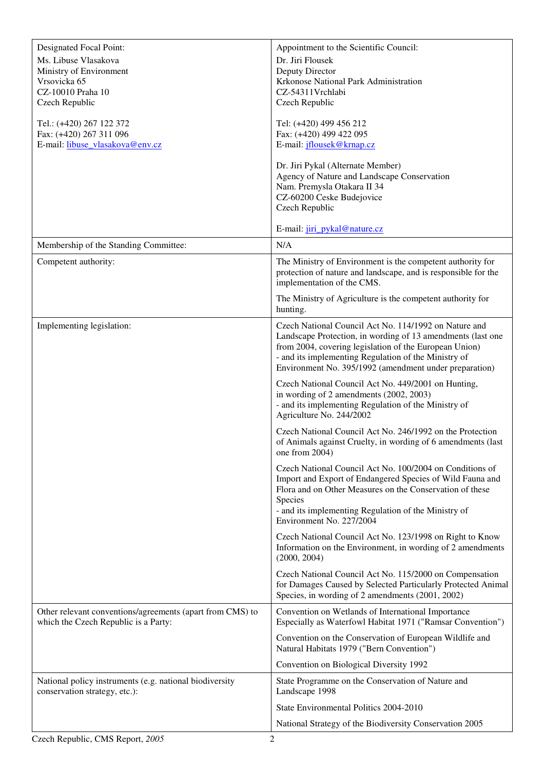| Designated Focal Point:<br>Appointment to the Scientific Council:                                                                                                                  |
|------------------------------------------------------------------------------------------------------------------------------------------------------------------------------------|
| Ms. Libuse Vlasakova<br>Dr. Jiri Flousek                                                                                                                                           |
| Ministry of Environment<br>Deputy Director                                                                                                                                         |
| Krkonose National Park Administration<br>Vrsovicka 65                                                                                                                              |
| CZ-10010 Praha 10<br>CZ-54311Vrchlabi<br>Czech Republic<br>Czech Republic                                                                                                          |
| Tel.: (+420) 267 122 372<br>Tel: (+420) 499 456 212                                                                                                                                |
| Fax: (+420) 267 311 096<br>Fax: (+420) 499 422 095                                                                                                                                 |
| E-mail: libuse vlasakova@env.cz<br>E-mail: <i>iflousek@krnap.cz</i>                                                                                                                |
| Dr. Jiri Pykal (Alternate Member)                                                                                                                                                  |
| Agency of Nature and Landscape Conservation                                                                                                                                        |
| Nam. Premysla Otakara II 34                                                                                                                                                        |
| CZ-60200 Ceske Budejovice<br>Czech Republic                                                                                                                                        |
|                                                                                                                                                                                    |
| E-mail: jiri_pykal@nature.cz                                                                                                                                                       |
| Membership of the Standing Committee:<br>N/A                                                                                                                                       |
| The Ministry of Environment is the competent authority for<br>Competent authority:<br>protection of nature and landscape, and is responsible for the<br>implementation of the CMS. |
| The Ministry of Agriculture is the competent authority for<br>hunting.                                                                                                             |
| Czech National Council Act No. 114/1992 on Nature and<br>Implementing legislation:                                                                                                 |
| Landscape Protection, in wording of 13 amendments (last one                                                                                                                        |
| from 2004, covering legislation of the European Union)<br>- and its implementing Regulation of the Ministry of                                                                     |
| Environment No. 395/1992 (amendment under preparation)                                                                                                                             |
| Czech National Council Act No. 449/2001 on Hunting,                                                                                                                                |
| in wording of 2 amendments (2002, 2003)                                                                                                                                            |
| - and its implementing Regulation of the Ministry of<br>Agriculture No. 244/2002                                                                                                   |
| Czech National Council Act No. 246/1992 on the Protection                                                                                                                          |
| of Animals against Cruelty, in wording of 6 amendments (last<br>one from 2004)                                                                                                     |
| Czech National Council Act No. 100/2004 on Conditions of                                                                                                                           |
| Import and Export of Endangered Species of Wild Fauna and                                                                                                                          |
| Flora and on Other Measures on the Conservation of these<br>Species                                                                                                                |
| - and its implementing Regulation of the Ministry of                                                                                                                               |
| Environment No. 227/2004                                                                                                                                                           |
| Czech National Council Act No. 123/1998 on Right to Know                                                                                                                           |
| Information on the Environment, in wording of 2 amendments<br>(2000, 2004)                                                                                                         |
| Czech National Council Act No. 115/2000 on Compensation                                                                                                                            |
| for Damages Caused by Selected Particularly Protected Animal<br>Species, in wording of 2 amendments (2001, 2002)                                                                   |
| Other relevant conventions/agreements (apart from CMS) to<br>Convention on Wetlands of International Importance                                                                    |
| which the Czech Republic is a Party:<br>Especially as Waterfowl Habitat 1971 ("Ramsar Convention")                                                                                 |
| Convention on the Conservation of European Wildlife and<br>Natural Habitats 1979 ("Bern Convention")                                                                               |
| Convention on Biological Diversity 1992                                                                                                                                            |
| National policy instruments (e.g. national biodiversity<br>State Programme on the Conservation of Nature and<br>conservation strategy, etc.):<br>Landscape 1998                    |
| State Environmental Politics 2004-2010                                                                                                                                             |
| National Strategy of the Biodiversity Conservation 2005                                                                                                                            |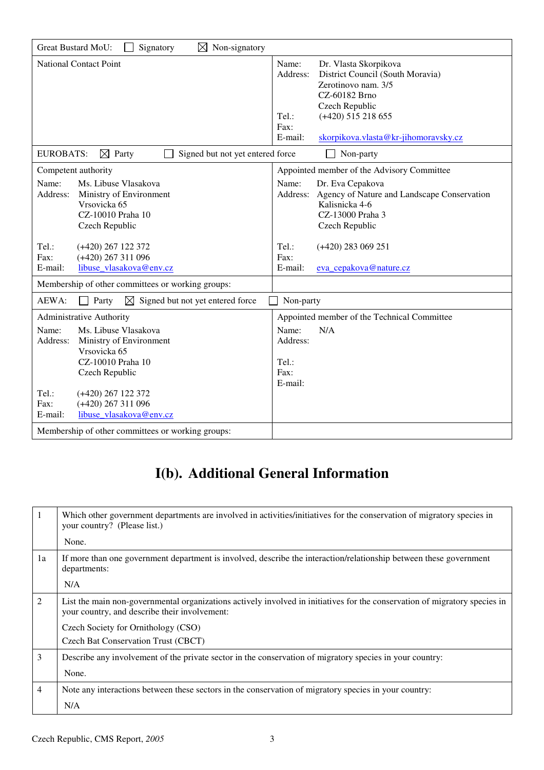| Great Bustard MoU:<br>$\boxtimes$ Non-signatory<br>Signatory                                                                                                                                                                                                                                                                                                          |                                                                                                                                                                                                                                        |  |
|-----------------------------------------------------------------------------------------------------------------------------------------------------------------------------------------------------------------------------------------------------------------------------------------------------------------------------------------------------------------------|----------------------------------------------------------------------------------------------------------------------------------------------------------------------------------------------------------------------------------------|--|
| <b>National Contact Point</b>                                                                                                                                                                                                                                                                                                                                         | Name:<br>Dr. Vlasta Skorpikova<br>District Council (South Moravia)<br>Address:<br>Zerotinovo nam. 3/5<br>CZ-60182 Brno<br>Czech Republic<br>$(+420)$ 515 218 655<br>$Tel$ :<br>Fax:<br>E-mail:<br>skorpikova.vlasta@kr-jihomoravsky.cz |  |
| <b>EUROBATS:</b><br>$\boxtimes$ Party<br>Signed but not yet entered force                                                                                                                                                                                                                                                                                             | Non-party                                                                                                                                                                                                                              |  |
| Competent authority<br>Appointed member of the Advisory Committee                                                                                                                                                                                                                                                                                                     |                                                                                                                                                                                                                                        |  |
| Ms. Libuse Vlasakova<br>Name:<br>Address:<br>Ministry of Environment<br>Vrsovicka 65<br>CZ-10010 Praha 10<br>Czech Republic                                                                                                                                                                                                                                           | Name:<br>Dr. Eva Cepakova<br>Address: Agency of Nature and Landscape Conservation<br>Kalisnicka 4-6<br>CZ-13000 Praha 3<br>Czech Republic                                                                                              |  |
| Tel.:<br>$(+420)$ 267 122 372<br>$(+420)$ 267 311 096<br>Fax:<br>libuse vlasakova@env.cz<br>E-mail:                                                                                                                                                                                                                                                                   | Tel.:<br>$(+420)$ 283 069 251<br>Fax:<br>E-mail:<br>eva cepakova@nature.cz                                                                                                                                                             |  |
| Membership of other committees or working groups:                                                                                                                                                                                                                                                                                                                     |                                                                                                                                                                                                                                        |  |
| AEWA:<br>⊠<br>Signed but not yet entered force<br>Party                                                                                                                                                                                                                                                                                                               | Non-party                                                                                                                                                                                                                              |  |
| Administrative Authority<br>Appointed member of the Technical Committee<br>Ms. Libuse Vlasakova<br>Name:<br>N/A<br>Name:<br>Ministry of Environment<br>Address:<br>Address:<br>Vrsovicka 65<br>CZ-10010 Praha 10<br>Tel.:<br>Fax:<br>Czech Republic<br>E-mail:<br>Tel.:<br>$(+420)$ 267 122 372<br>$(+420)$ 267 311 096<br>Fax:<br>E-mail:<br>libuse vlasakova@env.cz |                                                                                                                                                                                                                                        |  |
| Membership of other committees or working groups:                                                                                                                                                                                                                                                                                                                     |                                                                                                                                                                                                                                        |  |

# **I(b). Additional General Information**

|    | Which other government departments are involved in activities/initiatives for the conservation of migratory species in<br>your country? (Please list.)                      |
|----|-----------------------------------------------------------------------------------------------------------------------------------------------------------------------------|
|    | None.                                                                                                                                                                       |
| 1a | If more than one government department is involved, describe the interaction/relationship between these government<br>departments:                                          |
|    | N/A                                                                                                                                                                         |
| 2  | List the main non-governmental organizations actively involved in initiatives for the conservation of migratory species in<br>your country, and describe their involvement: |
|    | Czech Society for Ornithology (CSO)                                                                                                                                         |
|    | Czech Bat Conservation Trust (CBCT)                                                                                                                                         |
| 3  | Describe any involvement of the private sector in the conservation of migratory species in your country:                                                                    |
|    | None.                                                                                                                                                                       |
| 4  | Note any interactions between these sectors in the conservation of migratory species in your country:                                                                       |
|    | N/A                                                                                                                                                                         |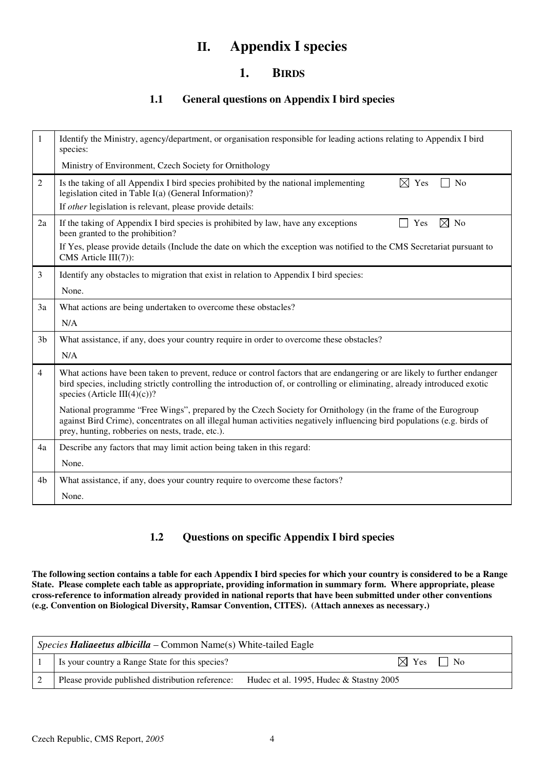## **II. Appendix I species**

### **1. BIRDS**

### **1.1 General questions on Appendix I bird species**

| $\mathbf{1}$   | Identify the Ministry, agency/department, or organisation responsible for leading actions relating to Appendix I bird<br>species:                                                                                                                                                             |
|----------------|-----------------------------------------------------------------------------------------------------------------------------------------------------------------------------------------------------------------------------------------------------------------------------------------------|
|                | Ministry of Environment, Czech Society for Ornithology                                                                                                                                                                                                                                        |
| $\overline{2}$ | Is the taking of all Appendix I bird species prohibited by the national implementing<br>$\boxtimes$ Yes<br>N <sub>o</sub><br>legislation cited in Table I(a) (General Information)?                                                                                                           |
|                | If <i>other</i> legislation is relevant, please provide details:                                                                                                                                                                                                                              |
| 2a             | $\boxtimes$ No<br>If the taking of Appendix I bird species is prohibited by law, have any exceptions<br>Yes<br>been granted to the prohibition?                                                                                                                                               |
|                | If Yes, please provide details (Include the date on which the exception was notified to the CMS Secretariat pursuant to<br>CMS Article III(7)):                                                                                                                                               |
| 3              | Identify any obstacles to migration that exist in relation to Appendix I bird species:                                                                                                                                                                                                        |
|                | None.                                                                                                                                                                                                                                                                                         |
| 3a             | What actions are being undertaken to overcome these obstacles?                                                                                                                                                                                                                                |
|                | N/A                                                                                                                                                                                                                                                                                           |
| 3 <sub>b</sub> | What assistance, if any, does your country require in order to overcome these obstacles?                                                                                                                                                                                                      |
|                | N/A                                                                                                                                                                                                                                                                                           |
| $\overline{4}$ | What actions have been taken to prevent, reduce or control factors that are endangering or are likely to further endanger<br>bird species, including strictly controlling the introduction of, or controlling or eliminating, already introduced exotic<br>species (Article III(4)(c))?       |
|                | National programme "Free Wings", prepared by the Czech Society for Ornithology (in the frame of the Eurogroup<br>against Bird Crime), concentrates on all illegal human activities negatively influencing bird populations (e.g. birds of<br>prey, hunting, robberies on nests, trade, etc.). |
| 4a             | Describe any factors that may limit action being taken in this regard:                                                                                                                                                                                                                        |
|                | None.                                                                                                                                                                                                                                                                                         |
| 4b             | What assistance, if any, does your country require to overcome these factors?                                                                                                                                                                                                                 |
|                | None.                                                                                                                                                                                                                                                                                         |

### **1.2 Questions on specific Appendix I bird species**

**The following section contains a table for each Appendix I bird species for which your country is considered to be a Range State. Please complete each table as appropriate, providing information in summary form. Where appropriate, please cross-reference to information already provided in national reports that have been submitted under other conventions (e.g. Convention on Biological Diversity, Ramsar Convention, CITES). (Attach annexes as necessary.)** 

| <i>Species <b>Haliaeetus albicilla</b> –</i> Common Name(s) White-tailed Eagle |                                                  |                                         |
|--------------------------------------------------------------------------------|--------------------------------------------------|-----------------------------------------|
|                                                                                | Is your country a Range State for this species?  | $\boxtimes$ Yes $\Box$ No               |
|                                                                                | Please provide published distribution reference: | Hudec et al. 1995, Hudec & Stastny 2005 |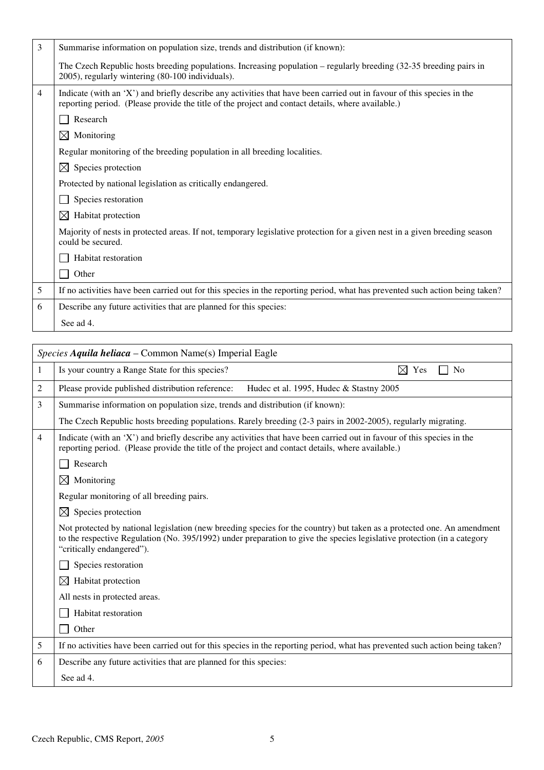| 3 | Summarise information on population size, trends and distribution (if known):                                                                                                                                               |
|---|-----------------------------------------------------------------------------------------------------------------------------------------------------------------------------------------------------------------------------|
|   | The Czech Republic hosts breeding populations. Increasing population – regularly breeding (32-35 breeding pairs in<br>2005), regularly wintering (80-100 individuals).                                                      |
| 4 | Indicate (with an 'X') and briefly describe any activities that have been carried out in favour of this species in the<br>reporting period. (Please provide the title of the project and contact details, where available.) |
|   | Research                                                                                                                                                                                                                    |
|   | $\bowtie$<br>Monitoring                                                                                                                                                                                                     |
|   | Regular monitoring of the breeding population in all breeding localities.                                                                                                                                                   |
|   | Species protection<br>$\bowtie$                                                                                                                                                                                             |
|   | Protected by national legislation as critically endangered.                                                                                                                                                                 |
|   | Species restoration                                                                                                                                                                                                         |
|   | $\boxtimes$<br>Habitat protection                                                                                                                                                                                           |
|   | Majority of nests in protected areas. If not, temporary legislative protection for a given nest in a given breeding season<br>could be secured.                                                                             |
|   | Habitat restoration                                                                                                                                                                                                         |
|   | Other                                                                                                                                                                                                                       |
| 5 | If no activities have been carried out for this species in the reporting period, what has prevented such action being taken?                                                                                                |
| 6 | Describe any future activities that are planned for this species:                                                                                                                                                           |
|   | See ad 4.                                                                                                                                                                                                                   |

| Is your country a Range State for this species?<br>⊠<br>Yes<br>N <sub>0</sub><br>Please provide published distribution reference:<br>Hudec et al. 1995, Hudec & Stastny 2005                                                                                                    |
|---------------------------------------------------------------------------------------------------------------------------------------------------------------------------------------------------------------------------------------------------------------------------------|
|                                                                                                                                                                                                                                                                                 |
|                                                                                                                                                                                                                                                                                 |
| Summarise information on population size, trends and distribution (if known):                                                                                                                                                                                                   |
| The Czech Republic hosts breeding populations. Rarely breeding (2-3 pairs in 2002-2005), regularly migrating.                                                                                                                                                                   |
| Indicate (with an 'X') and briefly describe any activities that have been carried out in favour of this species in the<br>reporting period. (Please provide the title of the project and contact details, where available.)                                                     |
| Research                                                                                                                                                                                                                                                                        |
| Monitoring                                                                                                                                                                                                                                                                      |
| Regular monitoring of all breeding pairs.                                                                                                                                                                                                                                       |
| Species protection                                                                                                                                                                                                                                                              |
| Not protected by national legislation (new breeding species for the country) but taken as a protected one. An amendment<br>to the respective Regulation (No. 395/1992) under preparation to give the species legislative protection (in a category<br>"critically endangered"). |
| Species restoration                                                                                                                                                                                                                                                             |
| Habitat protection                                                                                                                                                                                                                                                              |
| All nests in protected areas.                                                                                                                                                                                                                                                   |
| Habitat restoration                                                                                                                                                                                                                                                             |
| Other                                                                                                                                                                                                                                                                           |
| If no activities have been carried out for this species in the reporting period, what has prevented such action being taken?                                                                                                                                                    |
| Describe any future activities that are planned for this species:                                                                                                                                                                                                               |
| See ad 4.                                                                                                                                                                                                                                                                       |
| $\boxtimes$<br>$\bowtie$<br>⊠                                                                                                                                                                                                                                                   |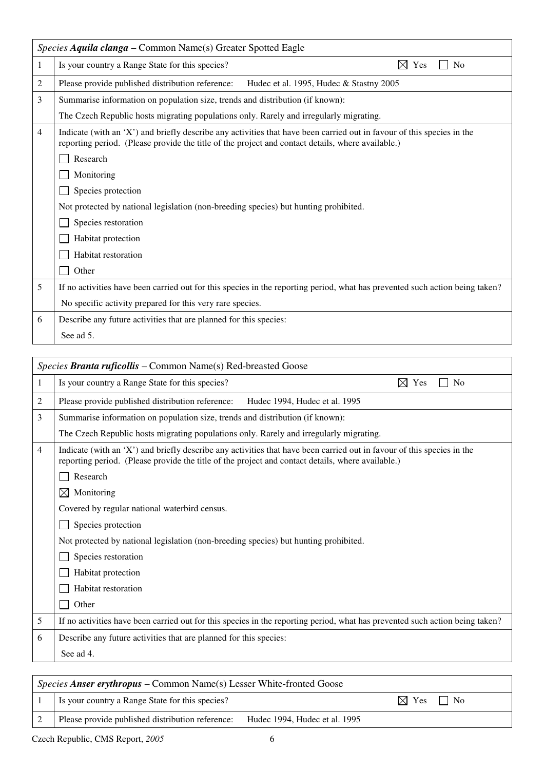|   | Species Aquila clanga – Common Name(s) Greater Spotted Eagle                                                                                                                                                                |
|---|-----------------------------------------------------------------------------------------------------------------------------------------------------------------------------------------------------------------------------|
| 1 | Is your country a Range State for this species?<br>Yes<br>N <sub>0</sub><br>M                                                                                                                                               |
| 2 | Please provide published distribution reference:<br>Hudec et al. 1995, Hudec & Stastny 2005                                                                                                                                 |
| 3 | Summarise information on population size, trends and distribution (if known):                                                                                                                                               |
|   | The Czech Republic hosts migrating populations only. Rarely and irregularly migrating.                                                                                                                                      |
| 4 | Indicate (with an 'X') and briefly describe any activities that have been carried out in favour of this species in the<br>reporting period. (Please provide the title of the project and contact details, where available.) |
|   | Research                                                                                                                                                                                                                    |
|   | Monitoring                                                                                                                                                                                                                  |
|   | Species protection                                                                                                                                                                                                          |
|   | Not protected by national legislation (non-breeding species) but hunting prohibited.                                                                                                                                        |
|   | Species restoration                                                                                                                                                                                                         |
|   | Habitat protection                                                                                                                                                                                                          |
|   | Habitat restoration                                                                                                                                                                                                         |
|   | Other                                                                                                                                                                                                                       |
| 5 | If no activities have been carried out for this species in the reporting period, what has prevented such action being taken?                                                                                                |
|   | No specific activity prepared for this very rare species.                                                                                                                                                                   |
| 6 | Describe any future activities that are planned for this species:                                                                                                                                                           |
|   | See ad 5.                                                                                                                                                                                                                   |

|   | Species Branta ruficollis – Common Name(s) Red-breasted Goose                                                                                                                                                               |
|---|-----------------------------------------------------------------------------------------------------------------------------------------------------------------------------------------------------------------------------|
| 1 | $\boxtimes$ Yes<br>Is your country a Range State for this species?<br>N <sub>0</sub>                                                                                                                                        |
| 2 | Please provide published distribution reference:<br>Hudec 1994, Hudec et al. 1995                                                                                                                                           |
| 3 | Summarise information on population size, trends and distribution (if known):                                                                                                                                               |
|   | The Czech Republic hosts migrating populations only. Rarely and irregularly migrating.                                                                                                                                      |
| 4 | Indicate (with an 'X') and briefly describe any activities that have been carried out in favour of this species in the<br>reporting period. (Please provide the title of the project and contact details, where available.) |
|   | Research                                                                                                                                                                                                                    |
|   | $\boxtimes$<br>Monitoring                                                                                                                                                                                                   |
|   | Covered by regular national waterbird census.                                                                                                                                                                               |
|   | Species protection                                                                                                                                                                                                          |
|   | Not protected by national legislation (non-breeding species) but hunting prohibited.                                                                                                                                        |
|   | Species restoration                                                                                                                                                                                                         |
|   | Habitat protection                                                                                                                                                                                                          |
|   | Habitat restoration                                                                                                                                                                                                         |
|   | Other                                                                                                                                                                                                                       |
| 5 | If no activities have been carried out for this species in the reporting period, what has prevented such action being taken?                                                                                                |
| 6 | Describe any future activities that are planned for this species:                                                                                                                                                           |
|   | See ad 4.                                                                                                                                                                                                                   |
|   |                                                                                                                                                                                                                             |

| <i>Species Anser erythropus – Common Name(s) Lesser White-fronted Goose</i> |                               |                           |  |
|-----------------------------------------------------------------------------|-------------------------------|---------------------------|--|
| Is your country a Range State for this species?                             |                               | $\boxtimes$ Yes $\Box$ No |  |
| Please provide published distribution reference:                            | Hudec 1994, Hudec et al. 1995 |                           |  |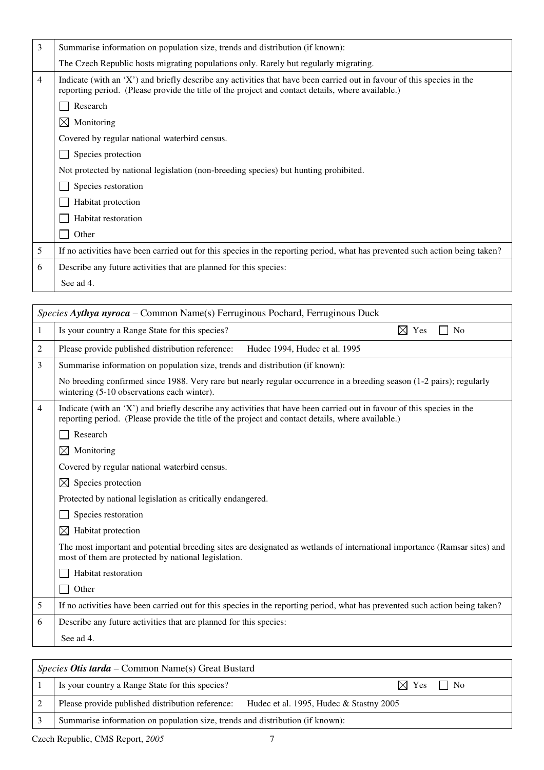| 3              | Summarise information on population size, trends and distribution (if known):                                                                                                                                               |
|----------------|-----------------------------------------------------------------------------------------------------------------------------------------------------------------------------------------------------------------------------|
|                | The Czech Republic hosts migrating populations only. Rarely but regularly migrating.                                                                                                                                        |
| $\overline{4}$ | Indicate (with an 'X') and briefly describe any activities that have been carried out in favour of this species in the<br>reporting period. (Please provide the title of the project and contact details, where available.) |
|                | Research                                                                                                                                                                                                                    |
|                | ⊠<br>Monitoring                                                                                                                                                                                                             |
|                | Covered by regular national waterbird census.                                                                                                                                                                               |
|                | Species protection                                                                                                                                                                                                          |
|                | Not protected by national legislation (non-breeding species) but hunting prohibited.                                                                                                                                        |
|                | Species restoration                                                                                                                                                                                                         |
|                | Habitat protection                                                                                                                                                                                                          |
|                | Habitat restoration                                                                                                                                                                                                         |
|                | Other                                                                                                                                                                                                                       |
| 5              | If no activities have been carried out for this species in the reporting period, what has prevented such action being taken?                                                                                                |
| 6              | Describe any future activities that are planned for this species:                                                                                                                                                           |
|                | See ad 4.                                                                                                                                                                                                                   |
|                |                                                                                                                                                                                                                             |

|   | Species Aythya nyroca – Common Name(s) Ferruginous Pochard, Ferruginous Duck                                                                                                                                                |  |  |
|---|-----------------------------------------------------------------------------------------------------------------------------------------------------------------------------------------------------------------------------|--|--|
| 1 | Is your country a Range State for this species?<br>$\boxtimes$ Yes<br>No                                                                                                                                                    |  |  |
| 2 | Please provide published distribution reference:<br>Hudec 1994, Hudec et al. 1995                                                                                                                                           |  |  |
| 3 | Summarise information on population size, trends and distribution (if known):                                                                                                                                               |  |  |
|   | No breeding confirmed since 1988. Very rare but nearly regular occurrence in a breeding season (1-2 pairs); regularly<br>wintering (5-10 observations each winter).                                                         |  |  |
| 4 | Indicate (with an 'X') and briefly describe any activities that have been carried out in favour of this species in the<br>reporting period. (Please provide the title of the project and contact details, where available.) |  |  |
|   | Research                                                                                                                                                                                                                    |  |  |
|   | $\boxtimes$<br>Monitoring                                                                                                                                                                                                   |  |  |
|   | Covered by regular national waterbird census.                                                                                                                                                                               |  |  |
|   | Species protection<br>$\bowtie$                                                                                                                                                                                             |  |  |
|   | Protected by national legislation as critically endangered.                                                                                                                                                                 |  |  |
|   | Species restoration                                                                                                                                                                                                         |  |  |
|   | $\boxtimes$<br>Habitat protection                                                                                                                                                                                           |  |  |
|   | The most important and potential breeding sites are designated as wetlands of international importance (Ramsar sites) and<br>most of them are protected by national legislation.                                            |  |  |
|   | Habitat restoration                                                                                                                                                                                                         |  |  |
|   | Other                                                                                                                                                                                                                       |  |  |
| 5 | If no activities have been carried out for this species in the reporting period, what has prevented such action being taken?                                                                                                |  |  |
| 6 | Describe any future activities that are planned for this species:                                                                                                                                                           |  |  |
|   | See ad 4.                                                                                                                                                                                                                   |  |  |
|   |                                                                                                                                                                                                                             |  |  |
|   | Species Otis tarda - Common Name(s) Great Bustard                                                                                                                                                                           |  |  |
|   | Is your country a Dange State for this grapher?<br>$\nabla v_{\infty}$ $\nabla u_{\infty}$                                                                                                                                  |  |  |

|  | Is your country a Range State for this species?                                          | $\boxtimes$ Yes<br>$\overline{N}$ |
|--|------------------------------------------------------------------------------------------|-----------------------------------|
|  | Please provide published distribution reference: Hudec et al. 1995, Hudec & Stastny 2005 |                                   |
|  | Summarise information on population size, trends and distribution (if known):            |                                   |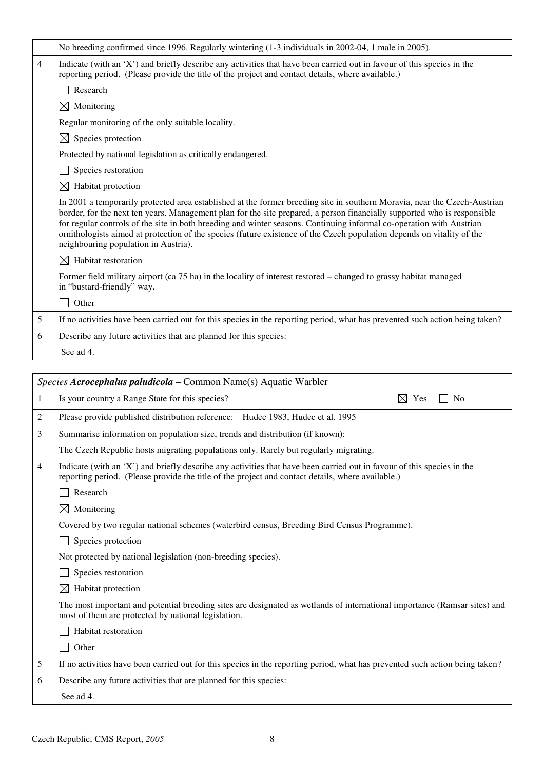|   | No breeding confirmed since 1996. Regularly wintering (1-3 individuals in 2002-04, 1 male in 2005).                                                                                                                                                                                                                                                                                                                                                                                                                                             |
|---|-------------------------------------------------------------------------------------------------------------------------------------------------------------------------------------------------------------------------------------------------------------------------------------------------------------------------------------------------------------------------------------------------------------------------------------------------------------------------------------------------------------------------------------------------|
| 4 | Indicate (with an 'X') and briefly describe any activities that have been carried out in favour of this species in the<br>reporting period. (Please provide the title of the project and contact details, where available.)                                                                                                                                                                                                                                                                                                                     |
|   | Research                                                                                                                                                                                                                                                                                                                                                                                                                                                                                                                                        |
|   | Monitoring<br>$\boxtimes$                                                                                                                                                                                                                                                                                                                                                                                                                                                                                                                       |
|   | Regular monitoring of the only suitable locality.                                                                                                                                                                                                                                                                                                                                                                                                                                                                                               |
|   | Species protection<br>$\bowtie$                                                                                                                                                                                                                                                                                                                                                                                                                                                                                                                 |
|   | Protected by national legislation as critically endangered.                                                                                                                                                                                                                                                                                                                                                                                                                                                                                     |
|   | Species restoration                                                                                                                                                                                                                                                                                                                                                                                                                                                                                                                             |
|   | Habitat protection<br>$\bowtie$                                                                                                                                                                                                                                                                                                                                                                                                                                                                                                                 |
|   | In 2001 a temporarily protected area established at the former breeding site in southern Moravia, near the Czech-Austrian<br>border, for the next ten years. Management plan for the site prepared, a person financially supported who is responsible<br>for regular controls of the site in both breeding and winter seasons. Continuing informal co-operation with Austrian<br>ornithologists aimed at protection of the species (future existence of the Czech population depends on vitality of the<br>neighbouring population in Austria). |
|   | $\boxtimes$ Habitat restoration                                                                                                                                                                                                                                                                                                                                                                                                                                                                                                                 |
|   | Former field military airport (ca 75 ha) in the locality of interest restored – changed to grassy habitat managed<br>in "bustard-friendly" way.                                                                                                                                                                                                                                                                                                                                                                                                 |
|   | Other                                                                                                                                                                                                                                                                                                                                                                                                                                                                                                                                           |
| 5 | If no activities have been carried out for this species in the reporting period, what has prevented such action being taken?                                                                                                                                                                                                                                                                                                                                                                                                                    |
| 6 | Describe any future activities that are planned for this species:                                                                                                                                                                                                                                                                                                                                                                                                                                                                               |
|   | See ad 4.                                                                                                                                                                                                                                                                                                                                                                                                                                                                                                                                       |
|   |                                                                                                                                                                                                                                                                                                                                                                                                                                                                                                                                                 |

|                | <i>Species Acrocephalus paludicola – Common Name(s) Aquatic Warbler</i>                                                                                                                                                     |
|----------------|-----------------------------------------------------------------------------------------------------------------------------------------------------------------------------------------------------------------------------|
| 1              | Is your country a Range State for this species?<br>⊠<br>Yes<br>N <sub>o</sub>                                                                                                                                               |
| $\overline{c}$ | Please provide published distribution reference: Hudec 1983, Hudec et al. 1995                                                                                                                                              |
| 3              | Summarise information on population size, trends and distribution (if known):                                                                                                                                               |
|                | The Czech Republic hosts migrating populations only. Rarely but regularly migrating.                                                                                                                                        |
| 4              | Indicate (with an 'X') and briefly describe any activities that have been carried out in favour of this species in the<br>reporting period. (Please provide the title of the project and contact details, where available.) |
|                | Research                                                                                                                                                                                                                    |
|                | $\boxtimes$<br>Monitoring                                                                                                                                                                                                   |
|                | Covered by two regular national schemes (waterbird census, Breeding Bird Census Programme).                                                                                                                                 |
|                | Species protection                                                                                                                                                                                                          |
|                | Not protected by national legislation (non-breeding species).                                                                                                                                                               |
|                | Species restoration                                                                                                                                                                                                         |
|                | ⊠<br>Habitat protection                                                                                                                                                                                                     |
|                | The most important and potential breeding sites are designated as wetlands of international importance (Ramsar sites) and<br>most of them are protected by national legislation.                                            |
|                | Habitat restoration                                                                                                                                                                                                         |
|                | Other                                                                                                                                                                                                                       |
| 5              | If no activities have been carried out for this species in the reporting period, what has prevented such action being taken?                                                                                                |
| 6              | Describe any future activities that are planned for this species:                                                                                                                                                           |
|                | See ad 4.                                                                                                                                                                                                                   |
|                |                                                                                                                                                                                                                             |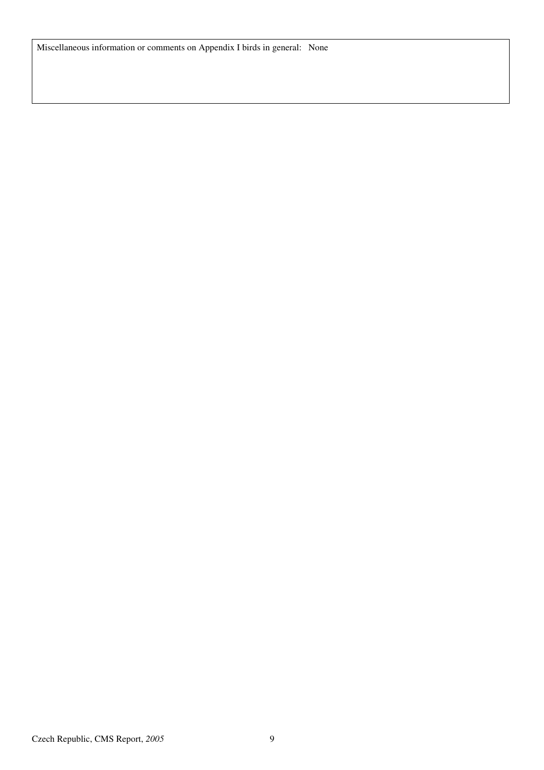Miscellaneous information or comments on Appendix I birds in general: None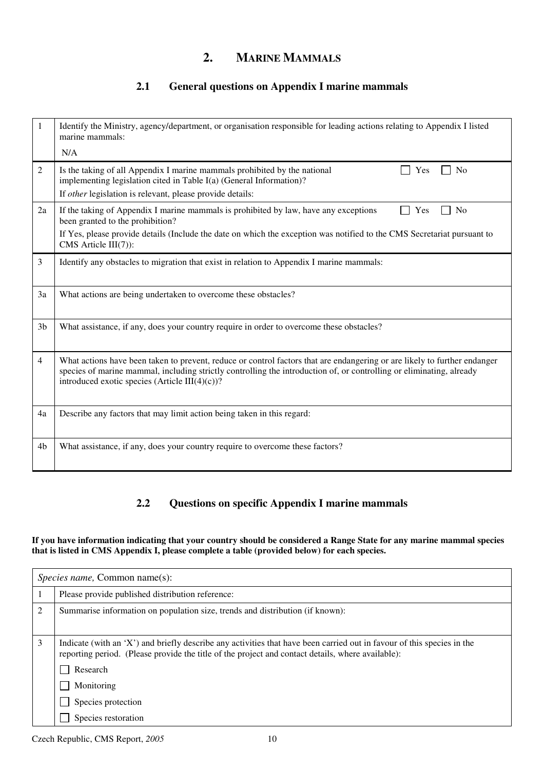## **2. MARINE MAMMALS**

### **2.1 General questions on Appendix I marine mammals**

| 1              | Identify the Ministry, agency/department, or organisation responsible for leading actions relating to Appendix I listed<br>marine mammals:<br>N/A                                                                                                                                                       |
|----------------|---------------------------------------------------------------------------------------------------------------------------------------------------------------------------------------------------------------------------------------------------------------------------------------------------------|
| $\overline{2}$ | Is the taking of all Appendix I marine mammals prohibited by the national<br>N <sub>o</sub><br>Yes<br>implementing legislation cited in Table I(a) (General Information)?<br>If other legislation is relevant, please provide details:                                                                  |
| 2a             | If the taking of Appendix I marine mammals is prohibited by law, have any exceptions<br>N <sub>o</sub><br>Yes<br>been granted to the prohibition?<br>If Yes, please provide details (Include the date on which the exception was notified to the CMS Secretariat pursuant to<br>CMS Article III(7)):    |
| $\overline{3}$ | Identify any obstacles to migration that exist in relation to Appendix I marine mammals:                                                                                                                                                                                                                |
| 3a             | What actions are being undertaken to overcome these obstacles?                                                                                                                                                                                                                                          |
| 3 <sub>b</sub> | What assistance, if any, does your country require in order to overcome these obstacles?                                                                                                                                                                                                                |
| 4              | What actions have been taken to prevent, reduce or control factors that are endangering or are likely to further endanger<br>species of marine mammal, including strictly controlling the introduction of, or controlling or eliminating, already<br>introduced exotic species (Article III $(4)(c)$ )? |
| 4a             | Describe any factors that may limit action being taken in this regard:                                                                                                                                                                                                                                  |
| 4b             | What assistance, if any, does your country require to overcome these factors?                                                                                                                                                                                                                           |

### **2.2 Questions on specific Appendix I marine mammals**

**If you have information indicating that your country should be considered a Range State for any marine mammal species that is listed in CMS Appendix I, please complete a table (provided below) for each species.**

| <i>Species name, Common name(s):</i> |                                                                                                                                                                                                                                         |
|--------------------------------------|-----------------------------------------------------------------------------------------------------------------------------------------------------------------------------------------------------------------------------------------|
|                                      | Please provide published distribution reference:                                                                                                                                                                                        |
|                                      | Summarise information on population size, trends and distribution (if known):                                                                                                                                                           |
| 3                                    | Indicate (with an 'X') and briefly describe any activities that have been carried out in favour of this species in the<br>reporting period. (Please provide the title of the project and contact details, where available):<br>Research |
|                                      | Monitoring                                                                                                                                                                                                                              |
|                                      | Species protection                                                                                                                                                                                                                      |
|                                      | Species restoration                                                                                                                                                                                                                     |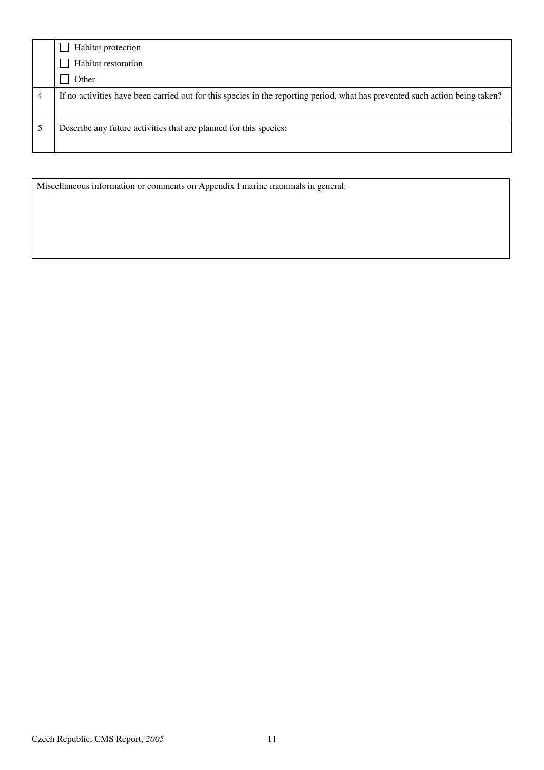|   | Habitat protection                                                                                                           |
|---|------------------------------------------------------------------------------------------------------------------------------|
|   | Habitat restoration                                                                                                          |
|   | Other                                                                                                                        |
| 4 | If no activities have been carried out for this species in the reporting period, what has prevented such action being taken? |
|   | Describe any future activities that are planned for this species:                                                            |

Miscellaneous information or comments on Appendix I marine mammals in general: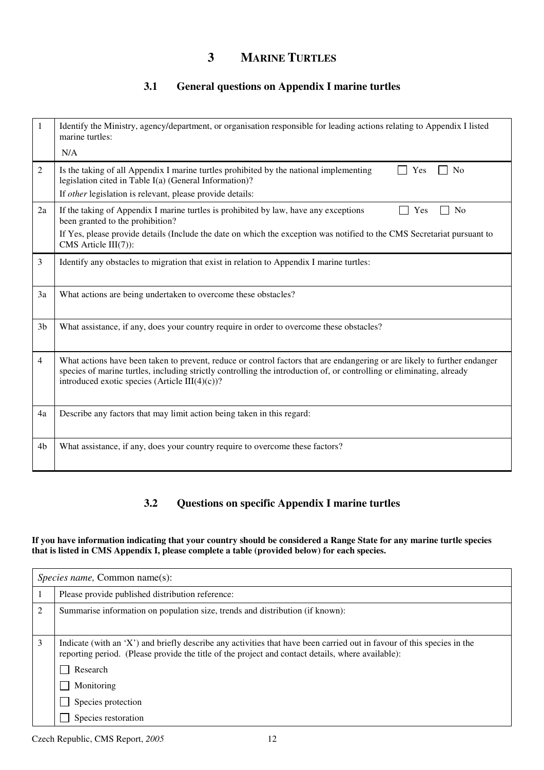## **3 MARINE TURTLES**

### **3.1 General questions on Appendix I marine turtles**

| 1              | Identify the Ministry, agency/department, or organisation responsible for leading actions relating to Appendix I listed<br>marine turtles:<br>N/A                                                                                                                                                        |
|----------------|----------------------------------------------------------------------------------------------------------------------------------------------------------------------------------------------------------------------------------------------------------------------------------------------------------|
| 2              | Is the taking of all Appendix I marine turtles prohibited by the national implementing<br>N <sub>0</sub><br>Yes<br>legislation cited in Table I(a) (General Information)?<br>If other legislation is relevant, please provide details:                                                                   |
| 2a             | If the taking of Appendix I marine turtles is prohibited by law, have any exceptions<br>N <sub>0</sub><br>Yes<br>been granted to the prohibition?                                                                                                                                                        |
|                | If Yes, please provide details (Include the date on which the exception was notified to the CMS Secretariat pursuant to<br>$CMS$ Article $III(7)$ :                                                                                                                                                      |
| 3              | Identify any obstacles to migration that exist in relation to Appendix I marine turtles:                                                                                                                                                                                                                 |
| 3a             | What actions are being undertaken to overcome these obstacles?                                                                                                                                                                                                                                           |
| 3 <sub>b</sub> | What assistance, if any, does your country require in order to overcome these obstacles?                                                                                                                                                                                                                 |
| 4              | What actions have been taken to prevent, reduce or control factors that are endangering or are likely to further endanger<br>species of marine turtles, including strictly controlling the introduction of, or controlling or eliminating, already<br>introduced exotic species (Article III $(4)(c)$ )? |
| 4a             | Describe any factors that may limit action being taken in this regard:                                                                                                                                                                                                                                   |
| 4b             | What assistance, if any, does your country require to overcome these factors?                                                                                                                                                                                                                            |

### **3.2 Questions on specific Appendix I marine turtles**

#### **If you have information indicating that your country should be considered a Range State for any marine turtle species that is listed in CMS Appendix I, please complete a table (provided below) for each species.**

| <i>Species name, Common name(s):</i> |                                                                                                                                                                                                                                         |  |
|--------------------------------------|-----------------------------------------------------------------------------------------------------------------------------------------------------------------------------------------------------------------------------------------|--|
|                                      | Please provide published distribution reference:                                                                                                                                                                                        |  |
| 2                                    | Summarise information on population size, trends and distribution (if known):                                                                                                                                                           |  |
| 3                                    | Indicate (with an 'X') and briefly describe any activities that have been carried out in favour of this species in the<br>reporting period. (Please provide the title of the project and contact details, where available):<br>Research |  |
|                                      | Monitoring                                                                                                                                                                                                                              |  |
|                                      | Species protection                                                                                                                                                                                                                      |  |
|                                      | Species restoration                                                                                                                                                                                                                     |  |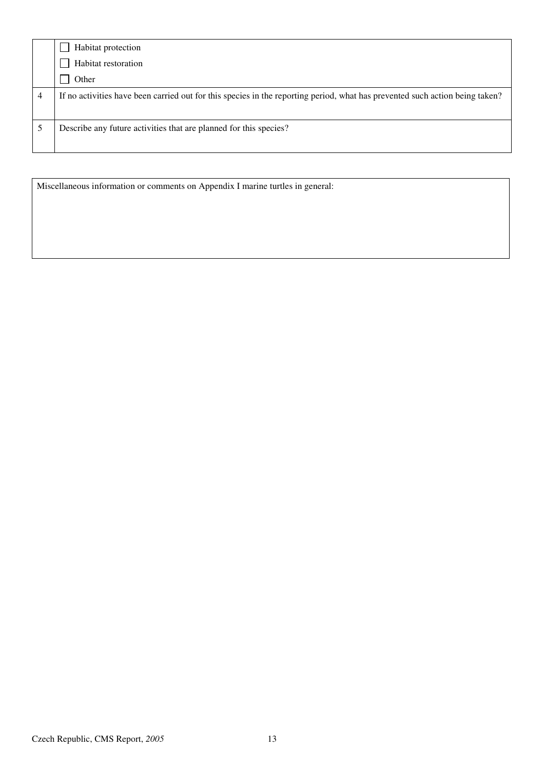|   | Habitat protection                                                                                                           |
|---|------------------------------------------------------------------------------------------------------------------------------|
|   | Habitat restoration                                                                                                          |
|   | Other                                                                                                                        |
| 4 | If no activities have been carried out for this species in the reporting period, what has prevented such action being taken? |
|   | Describe any future activities that are planned for this species?                                                            |

Miscellaneous information or comments on Appendix I marine turtles in general: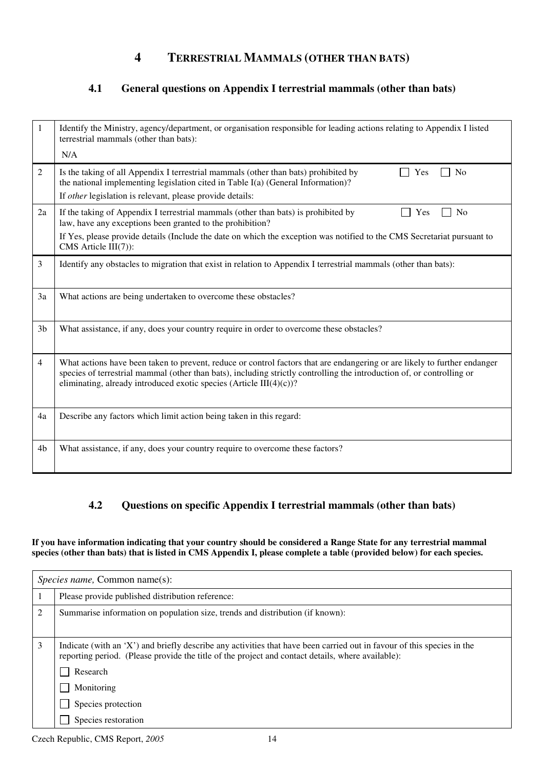## **4 TERRESTRIAL MAMMALS (OTHER THAN BATS)**

### **4.1 General questions on Appendix I terrestrial mammals (other than bats)**

| 1              | Identify the Ministry, agency/department, or organisation responsible for leading actions relating to Appendix I listed<br>terrestrial mammals (other than bats):                                                                                                                                                          |
|----------------|----------------------------------------------------------------------------------------------------------------------------------------------------------------------------------------------------------------------------------------------------------------------------------------------------------------------------|
|                | N/A                                                                                                                                                                                                                                                                                                                        |
| 2              | No<br>Is the taking of all Appendix I terrestrial mammals (other than bats) prohibited by<br>Yes<br>the national implementing legislation cited in Table I(a) (General Information)?                                                                                                                                       |
|                | If other legislation is relevant, please provide details:                                                                                                                                                                                                                                                                  |
| 2a             | If the taking of Appendix I terrestrial mammals (other than bats) is prohibited by<br>N <sub>0</sub><br>Yes<br>law, have any exceptions been granted to the prohibition?                                                                                                                                                   |
|                | If Yes, please provide details (Include the date on which the exception was notified to the CMS Secretariat pursuant to<br>CMS Article III(7)):                                                                                                                                                                            |
| 3              | Identify any obstacles to migration that exist in relation to Appendix I terrestrial mammals (other than bats):                                                                                                                                                                                                            |
| 3a             | What actions are being undertaken to overcome these obstacles?                                                                                                                                                                                                                                                             |
| 3 <sub>b</sub> | What assistance, if any, does your country require in order to overcome these obstacles?                                                                                                                                                                                                                                   |
| 4              | What actions have been taken to prevent, reduce or control factors that are endangering or are likely to further endanger<br>species of terrestrial mammal (other than bats), including strictly controlling the introduction of, or controlling or<br>eliminating, already introduced exotic species (Article III(4)(c))? |
| 4a             | Describe any factors which limit action being taken in this regard:                                                                                                                                                                                                                                                        |
| 4b             | What assistance, if any, does your country require to overcome these factors?                                                                                                                                                                                                                                              |

### **4.2 Questions on specific Appendix I terrestrial mammals (other than bats)**

**If you have information indicating that your country should be considered a Range State for any terrestrial mammal species (other than bats) that is listed in CMS Appendix I, please complete a table (provided below) for each species.** 

| <i>Species name, Common name(s):</i> |                                                                                                                                                                                                                                                       |
|--------------------------------------|-------------------------------------------------------------------------------------------------------------------------------------------------------------------------------------------------------------------------------------------------------|
|                                      | Please provide published distribution reference:                                                                                                                                                                                                      |
| $\mathfrak{D}$                       | Summarise information on population size, trends and distribution (if known):                                                                                                                                                                         |
| 3                                    | Indicate (with an 'X') and briefly describe any activities that have been carried out in favour of this species in the<br>reporting period. (Please provide the title of the project and contact details, where available):<br>Research<br>Monitoring |
|                                      | Species protection                                                                                                                                                                                                                                    |
|                                      | Species restoration                                                                                                                                                                                                                                   |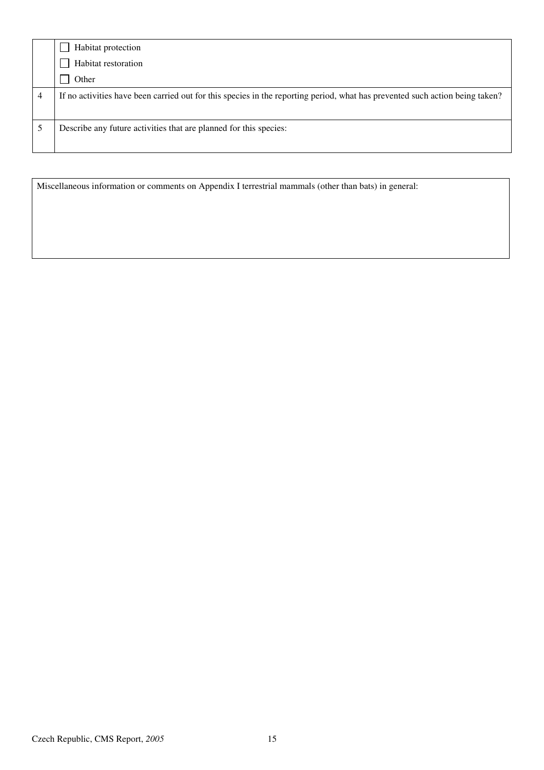|   | Habitat protection                                                                                                           |
|---|------------------------------------------------------------------------------------------------------------------------------|
|   | Habitat restoration                                                                                                          |
|   | Other                                                                                                                        |
| 4 | If no activities have been carried out for this species in the reporting period, what has prevented such action being taken? |
|   | Describe any future activities that are planned for this species:                                                            |

Miscellaneous information or comments on Appendix I terrestrial mammals (other than bats) in general: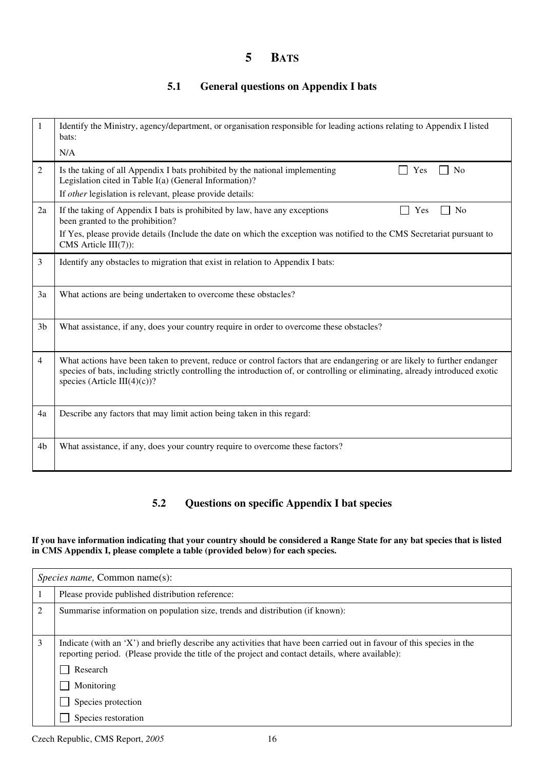## **5 BATS**

### **5.1 General questions on Appendix I bats**

| 1              | Identify the Ministry, agency/department, or organisation responsible for leading actions relating to Appendix I listed<br>bats:                                                                                                                                                           |  |  |
|----------------|--------------------------------------------------------------------------------------------------------------------------------------------------------------------------------------------------------------------------------------------------------------------------------------------|--|--|
|                | N/A                                                                                                                                                                                                                                                                                        |  |  |
| 2              | Is the taking of all Appendix I bats prohibited by the national implementing<br>N <sub>0</sub><br>Yes<br>Legislation cited in Table I(a) (General Information)?                                                                                                                            |  |  |
|                | If other legislation is relevant, please provide details:                                                                                                                                                                                                                                  |  |  |
| 2a             | If the taking of Appendix I bats is prohibited by law, have any exceptions<br>N <sub>0</sub><br>Yes<br>been granted to the prohibition?                                                                                                                                                    |  |  |
|                | If Yes, please provide details (Include the date on which the exception was notified to the CMS Secretariat pursuant to<br>$CMS$ Article $III(7)$ :                                                                                                                                        |  |  |
| 3              | Identify any obstacles to migration that exist in relation to Appendix I bats:                                                                                                                                                                                                             |  |  |
| 3a             | What actions are being undertaken to overcome these obstacles?                                                                                                                                                                                                                             |  |  |
| 3 <sub>b</sub> | What assistance, if any, does your country require in order to overcome these obstacles?                                                                                                                                                                                                   |  |  |
| 4              | What actions have been taken to prevent, reduce or control factors that are endangering or are likely to further endanger<br>species of bats, including strictly controlling the introduction of, or controlling or eliminating, already introduced exotic<br>species (Article III(4)(c))? |  |  |
| 4a             | Describe any factors that may limit action being taken in this regard:                                                                                                                                                                                                                     |  |  |
| 4b             | What assistance, if any, does your country require to overcome these factors?                                                                                                                                                                                                              |  |  |

### **5.2 Questions on specific Appendix I bat species**

#### **If you have information indicating that your country should be considered a Range State for any bat species that is listed in CMS Appendix I, please complete a table (provided below) for each species.**

| <i>Species name, Common name(s):</i> |                                                                                                                                                                                                                                         |  |  |
|--------------------------------------|-----------------------------------------------------------------------------------------------------------------------------------------------------------------------------------------------------------------------------------------|--|--|
|                                      | Please provide published distribution reference:                                                                                                                                                                                        |  |  |
| 2                                    | Summarise information on population size, trends and distribution (if known):                                                                                                                                                           |  |  |
| 3                                    | Indicate (with an 'X') and briefly describe any activities that have been carried out in favour of this species in the<br>reporting period. (Please provide the title of the project and contact details, where available):<br>Research |  |  |
|                                      | Monitoring                                                                                                                                                                                                                              |  |  |
|                                      | Species protection                                                                                                                                                                                                                      |  |  |
|                                      | Species restoration                                                                                                                                                                                                                     |  |  |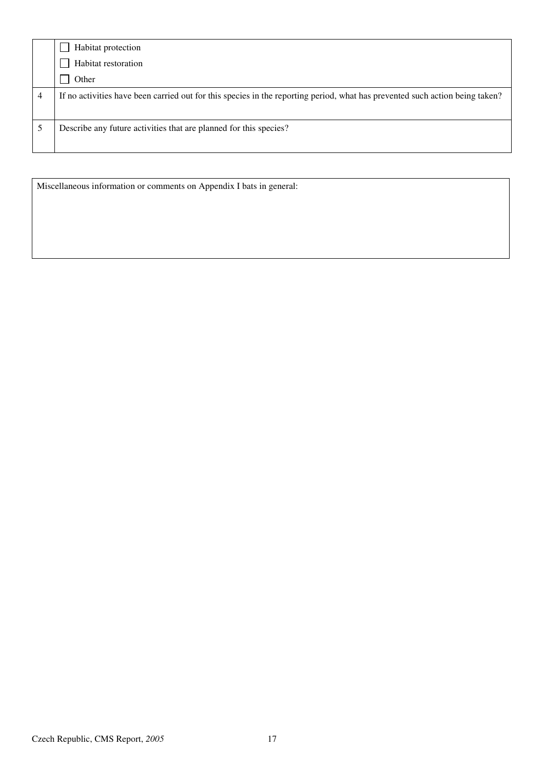|   | Habitat protection                                                                                                           |
|---|------------------------------------------------------------------------------------------------------------------------------|
|   | Habitat restoration                                                                                                          |
|   | Other                                                                                                                        |
| 4 | If no activities have been carried out for this species in the reporting period, what has prevented such action being taken? |
|   | Describe any future activities that are planned for this species?                                                            |

Miscellaneous information or comments on Appendix I bats in general: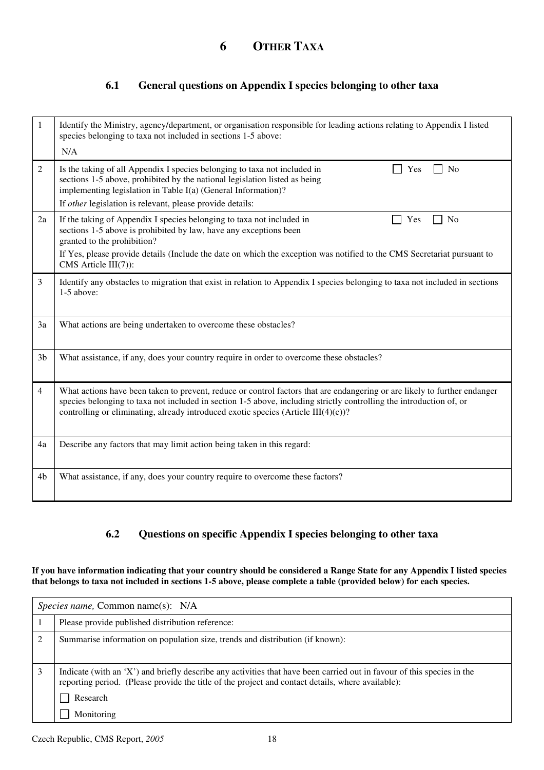### **6.1 General questions on Appendix I species belonging to other taxa**

| 1              | Identify the Ministry, agency/department, or organisation responsible for leading actions relating to Appendix I listed<br>species belonging to taxa not included in sections 1-5 above:<br>N/A                                                                                                                                           |  |  |
|----------------|-------------------------------------------------------------------------------------------------------------------------------------------------------------------------------------------------------------------------------------------------------------------------------------------------------------------------------------------|--|--|
| $\overline{2}$ | Is the taking of all Appendix I species belonging to taxa not included in<br>Yes<br>N <sub>o</sub><br>sections 1-5 above, prohibited by the national legislation listed as being<br>implementing legislation in Table I(a) (General Information)?                                                                                         |  |  |
|                | If other legislation is relevant, please provide details:                                                                                                                                                                                                                                                                                 |  |  |
| 2a             | If the taking of Appendix I species belonging to taxa not included in<br>Yes<br>N <sub>0</sub><br>sections 1-5 above is prohibited by law, have any exceptions been<br>granted to the prohibition?                                                                                                                                        |  |  |
|                | If Yes, please provide details (Include the date on which the exception was notified to the CMS Secretariat pursuant to<br>$CMS$ Article $III(7)$ :                                                                                                                                                                                       |  |  |
| 3              | Identify any obstacles to migration that exist in relation to Appendix I species belonging to taxa not included in sections<br>$1-5$ above:                                                                                                                                                                                               |  |  |
| 3a             | What actions are being undertaken to overcome these obstacles?                                                                                                                                                                                                                                                                            |  |  |
| 3 <sub>b</sub> | What assistance, if any, does your country require in order to overcome these obstacles?                                                                                                                                                                                                                                                  |  |  |
| 4              | What actions have been taken to prevent, reduce or control factors that are endangering or are likely to further endanger<br>species belonging to taxa not included in section 1-5 above, including strictly controlling the introduction of, or<br>controlling or eliminating, already introduced exotic species (Article $III(4)(c)$ )? |  |  |
| 4a             | Describe any factors that may limit action being taken in this regard:                                                                                                                                                                                                                                                                    |  |  |
| 4b             | What assistance, if any, does your country require to overcome these factors?                                                                                                                                                                                                                                                             |  |  |

### **6.2 Questions on specific Appendix I species belonging to other taxa**

**If you have information indicating that your country should be considered a Range State for any Appendix I listed species that belongs to taxa not included in sections 1-5 above, please complete a table (provided below) for each species.** 

| <i>Species name,</i> Common name(s): N/A |                                                                                                                                                                                                                                                       |  |  |
|------------------------------------------|-------------------------------------------------------------------------------------------------------------------------------------------------------------------------------------------------------------------------------------------------------|--|--|
|                                          | Please provide published distribution reference:                                                                                                                                                                                                      |  |  |
| $\mathfrak{D}$                           | Summarise information on population size, trends and distribution (if known):                                                                                                                                                                         |  |  |
|                                          | Indicate (with an 'X') and briefly describe any activities that have been carried out in favour of this species in the<br>reporting period. (Please provide the title of the project and contact details, where available):<br>Research<br>Monitoring |  |  |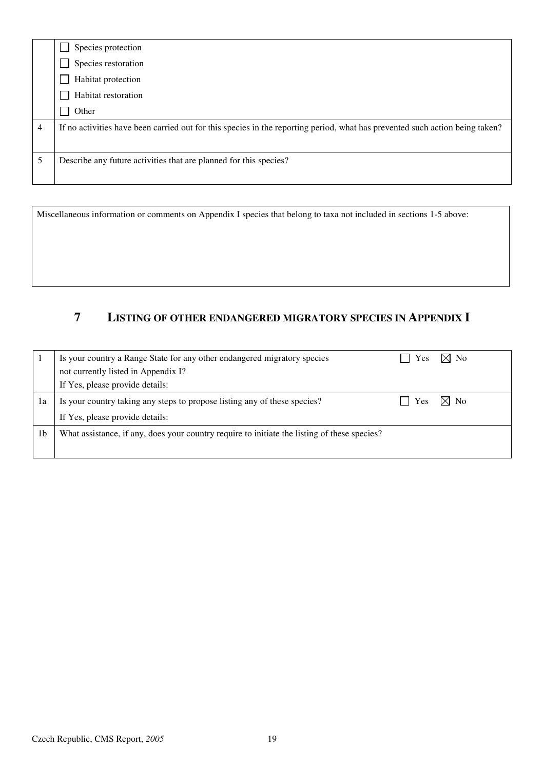|   | Species protection                                                                                                           |
|---|------------------------------------------------------------------------------------------------------------------------------|
|   | Species restoration                                                                                                          |
|   | Habitat protection                                                                                                           |
|   | Habitat restoration                                                                                                          |
|   | Other                                                                                                                        |
| 4 | If no activities have been carried out for this species in the reporting period, what has prevented such action being taken? |
|   |                                                                                                                              |
|   | Describe any future activities that are planned for this species?                                                            |
|   |                                                                                                                              |

Miscellaneous information or comments on Appendix I species that belong to taxa not included in sections 1-5 above:

## **7 LISTING OF OTHER ENDANGERED MIGRATORY SPECIES IN APPENDIX I**

|                | Is your country a Range State for any other endangered migratory species                     | <b>Yes</b>                          | $\boxtimes$ No |
|----------------|----------------------------------------------------------------------------------------------|-------------------------------------|----------------|
|                | not currently listed in Appendix I?                                                          |                                     |                |
|                | If Yes, please provide details:                                                              |                                     |                |
| ıа             | Is your country taking any steps to propose listing any of these species?                    | $\vert$ Yes $\vert \times \vert$ No |                |
|                | If Yes, please provide details:                                                              |                                     |                |
| 1 <sub>b</sub> | What assistance, if any, does your country require to initiate the listing of these species? |                                     |                |
|                |                                                                                              |                                     |                |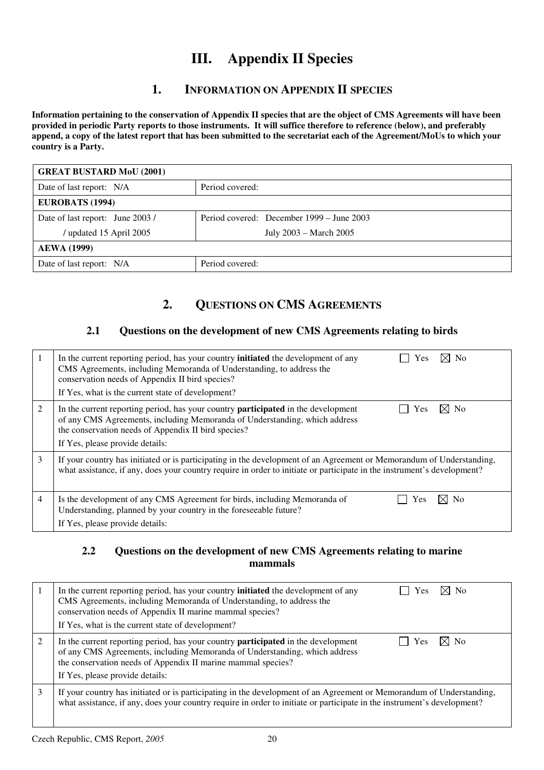## **III. Appendix II Species**

## **1. INFORMATION ON APPENDIX II SPECIES**

**Information pertaining to the conservation of Appendix II species that are the object of CMS Agreements will have been provided in periodic Party reports to those instruments. It will suffice therefore to reference (below), and preferably append, a copy of the latest report that has been submitted to the secretariat each of the Agreement/MoUs to which your country is a Party.** 

| <b>GREAT BUSTARD MoU (2001)</b>  |                                           |  |
|----------------------------------|-------------------------------------------|--|
| Date of last report: N/A         | Period covered:                           |  |
| EUROBATS (1994)                  |                                           |  |
| Date of last report: June 2003 / | Period covered: December 1999 – June 2003 |  |
| updated 15 April 2005            | July 2003 – March 2005                    |  |
| <b>AEWA</b> (1999)               |                                           |  |
| Date of last report: N/A         | Period covered:                           |  |

## **2. QUESTIONS ON CMS AGREEMENTS**

#### **2.1 Questions on the development of new CMS Agreements relating to birds**

|   | $\times$ No<br>In the current reporting period, has your country <b>initiated</b> the development of any<br>Yes<br>CMS Agreements, including Memoranda of Understanding, to address the<br>conservation needs of Appendix II bird species?<br>If Yes, what is the current state of development? |
|---|-------------------------------------------------------------------------------------------------------------------------------------------------------------------------------------------------------------------------------------------------------------------------------------------------|
| 2 | In the current reporting period, has your country <b>participated</b> in the development<br>$\times$ l No<br>Yes<br>of any CMS Agreements, including Memoranda of Understanding, which address<br>the conservation needs of Appendix II bird species?<br>If Yes, please provide details:        |
| 3 | If your country has initiated or is participating in the development of an Agreement or Memorandum of Understanding,<br>what assistance, if any, does your country require in order to initiate or participate in the instrument's development?                                                 |
| 4 | ⊠ No<br>Is the development of any CMS Agreement for birds, including Memoranda of<br>Yes<br>Understanding, planned by your country in the foreseeable future?<br>If Yes, please provide details:                                                                                                |

#### **2.2 Questions on the development of new CMS Agreements relating to marine mammals**

|   | ⊠ No<br>In the current reporting period, has your country <b>initiated</b> the development of any<br>Yes<br>CMS Agreements, including Memoranda of Understanding, to address the<br>conservation needs of Appendix II marine mammal species?<br>If Yes, what is the current state of development?                       |  |
|---|-------------------------------------------------------------------------------------------------------------------------------------------------------------------------------------------------------------------------------------------------------------------------------------------------------------------------|--|
|   | In the current reporting period, has your country <b>participated</b> in the development<br>N <sub>0</sub><br><b>Yes</b><br>$\times$ l<br>of any CMS Agreements, including Memoranda of Understanding, which address<br>the conservation needs of Appendix II marine mammal species?<br>If Yes, please provide details: |  |
| 3 | If your country has initiated or is participating in the development of an Agreement or Memorandum of Understanding,<br>what assistance, if any, does your country require in order to initiate or participate in the instrument's development?                                                                         |  |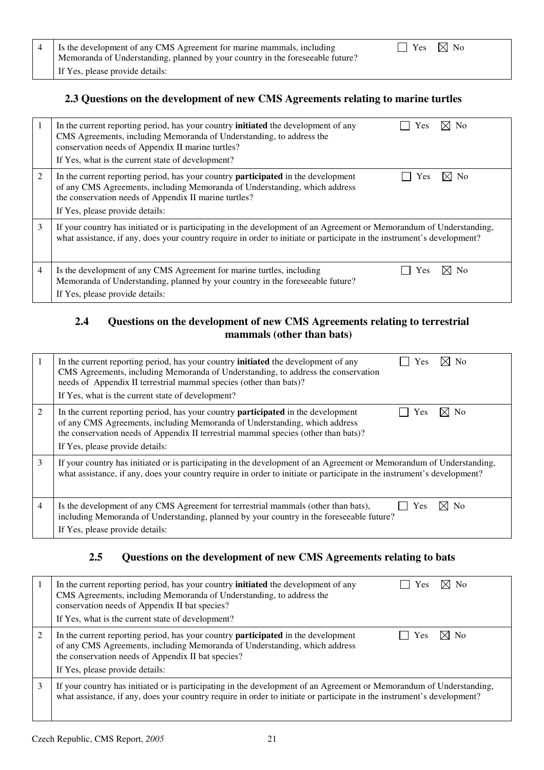| 4   Is the development of any CMS Agreement for marine mammals, including<br>Memoranda of Understanding, planned by your country in the foreseeable future? | $\Box$ Yes $\boxtimes$ No |  |
|-------------------------------------------------------------------------------------------------------------------------------------------------------------|---------------------------|--|
| If Yes, please provide details:                                                                                                                             |                           |  |

### **2.3 Questions on the development of new CMS Agreements relating to marine turtles**

| -1             | ⊠ No<br>In the current reporting period, has your country <b>initiated</b> the development of any<br>Yes<br>CMS Agreements, including Memoranda of Understanding, to address the<br>conservation needs of Appendix II marine turtles?<br>If Yes, what is the current state of development? |
|----------------|--------------------------------------------------------------------------------------------------------------------------------------------------------------------------------------------------------------------------------------------------------------------------------------------|
| $\overline{2}$ | In the current reporting period, has your country <b>participated</b> in the development<br>⊠ No<br><b>Yes</b><br>of any CMS Agreements, including Memoranda of Understanding, which address<br>the conservation needs of Appendix II marine turtles?<br>If Yes, please provide details:   |
| 3              | If your country has initiated or is participating in the development of an Agreement or Memorandum of Understanding,<br>what assistance, if any, does your country require in order to initiate or participate in the instrument's development?                                            |
| $\overline{4}$ | Is the development of any CMS Agreement for marine turtles, including<br>⊠ No<br>Yes<br>Memoranda of Understanding, planned by your country in the foreseeable future?<br>If Yes, please provide details:                                                                                  |

### **2.4 Questions on the development of new CMS Agreements relating to terrestrial mammals (other than bats)**

|   | $\times$ No<br>In the current reporting period, has your country <b>initiated</b> the development of any<br>Yes<br>CMS Agreements, including Memoranda of Understanding, to address the conservation<br>needs of Appendix II terrestrial mammal species (other than bats)?<br>If Yes, what is the current state of development? |
|---|---------------------------------------------------------------------------------------------------------------------------------------------------------------------------------------------------------------------------------------------------------------------------------------------------------------------------------|
| 2 | In the current reporting period, has your country <b>participated</b> in the development<br>$\times$ l No<br>Yes<br>of any CMS Agreements, including Memoranda of Understanding, which address<br>the conservation needs of Appendix II terrestrial mammal species (other than bats)?<br>If Yes, please provide details:        |
| 3 | If your country has initiated or is participating in the development of an Agreement or Memorandum of Understanding,<br>what assistance, if any, does your country require in order to initiate or participate in the instrument's development?                                                                                 |
| 4 | Is the development of any CMS Agreement for terrestrial mammals (other than bats),<br>Yes<br>N <sub>0</sub><br>including Memoranda of Understanding, planned by your country in the foreseeable future?<br>If Yes, please provide details:                                                                                      |

## **2.5 Questions on the development of new CMS Agreements relating to bats**

|   | In the current reporting period, has your country <b>initiated</b> the development of any<br>⊠ No<br>Yes<br>CMS Agreements, including Memoranda of Understanding, to address the<br>conservation needs of Appendix II bat species?<br>If Yes, what is the current state of development? |
|---|-----------------------------------------------------------------------------------------------------------------------------------------------------------------------------------------------------------------------------------------------------------------------------------------|
| 2 | ⊠ No<br>In the current reporting period, has your country <b>participated</b> in the development<br>Yes<br>of any CMS Agreements, including Memoranda of Understanding, which address<br>the conservation needs of Appendix II bat species?<br>If Yes, please provide details:          |
| 3 | If your country has initiated or is participating in the development of an Agreement or Memorandum of Understanding,<br>what assistance, if any, does your country require in order to initiate or participate in the instrument's development?                                         |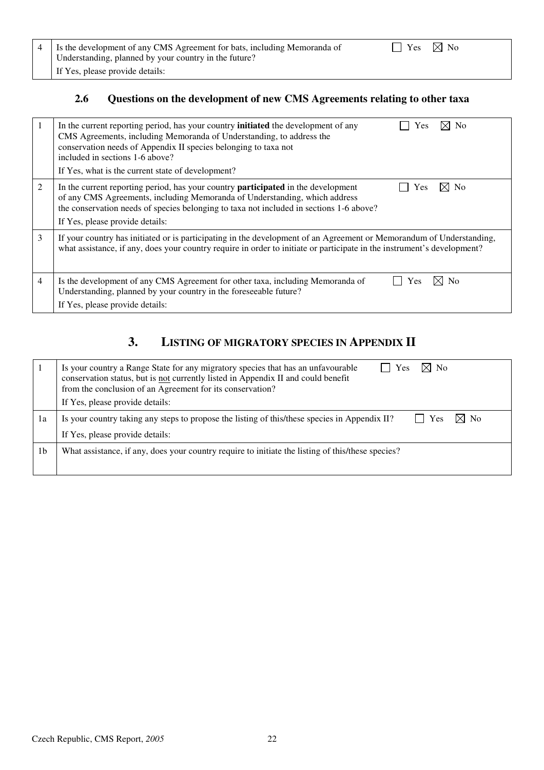| 4 Is the development of any CMS Agreement for bats, including Memoranda of | $\Box$ Yes $\boxtimes$ No |  |
|----------------------------------------------------------------------------|---------------------------|--|
| Understanding, planned by your country in the future?                      |                           |  |
| If Yes, please provide details:                                            |                           |  |

## **2.6 Questions on the development of new CMS Agreements relating to other taxa**

| 1 | $\times$ l No<br>In the current reporting period, has your country <b>initiated</b> the development of any<br>Yes<br>CMS Agreements, including Memoranda of Understanding, to address the<br>conservation needs of Appendix II species belonging to taxa not<br>included in sections 1-6 above?<br>If Yes, what is the current state of development? |
|---|------------------------------------------------------------------------------------------------------------------------------------------------------------------------------------------------------------------------------------------------------------------------------------------------------------------------------------------------------|
| 2 | In the current reporting period, has your country <b>participated</b> in the development<br>Yes<br>N <sub>0</sub><br>of any CMS Agreements, including Memoranda of Understanding, which address<br>the conservation needs of species belonging to taxa not included in sections 1-6 above?<br>If Yes, please provide details:                        |
| 3 | If your country has initiated or is participating in the development of an Agreement or Memorandum of Understanding,<br>what assistance, if any, does your country require in order to initiate or participate in the instrument's development?                                                                                                      |
| 4 | Is the development of any CMS Agreement for other taxa, including Memoranda of<br>N <sub>o</sub><br>Yes<br>Understanding, planned by your country in the foreseeable future?<br>If Yes, please provide details:                                                                                                                                      |

## **3. LISTING OF MIGRATORY SPECIES IN APPENDIX II**

|                | $\bowtie$<br>$\overline{N}$<br>Is your country a Range State for any migratory species that has an unfavourable<br>Yes<br>conservation status, but is not currently listed in Appendix II and could benefit<br>from the conclusion of an Agreement for its conservation?<br>If Yes, please provide details: |
|----------------|-------------------------------------------------------------------------------------------------------------------------------------------------------------------------------------------------------------------------------------------------------------------------------------------------------------|
| 1a             | $\boxtimes$ No<br>$\mathsf{l}$ Yes<br>Is your country taking any steps to propose the listing of this/these species in Appendix II?                                                                                                                                                                         |
|                | If Yes, please provide details:                                                                                                                                                                                                                                                                             |
| 1 <sub>b</sub> | What assistance, if any, does your country require to initiate the listing of this/these species?                                                                                                                                                                                                           |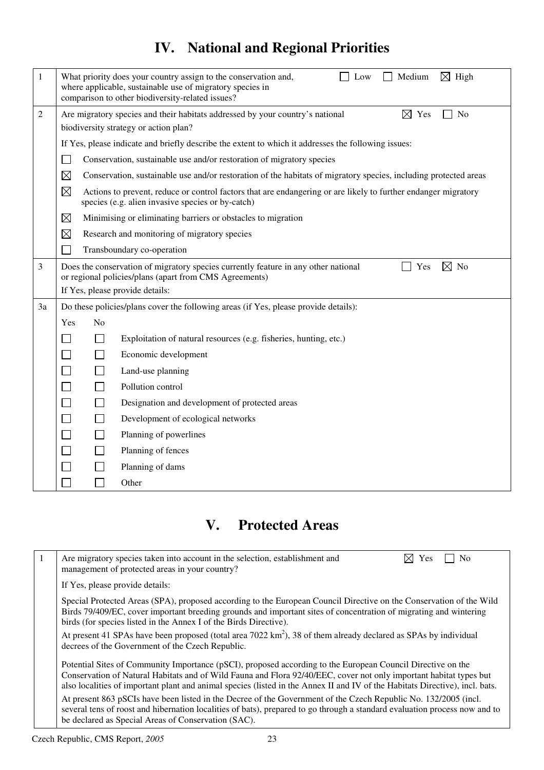# **IV. National and Regional Priorities**

| $\mathbf{1}$   | What priority does your country assign to the conservation and,<br>Medium<br>$\boxtimes$ High<br>Low<br>where applicable, sustainable use of migratory species in<br>comparison to other biodiversity-related issues? |                                                                                                                                                                       |  |  |
|----------------|-----------------------------------------------------------------------------------------------------------------------------------------------------------------------------------------------------------------------|-----------------------------------------------------------------------------------------------------------------------------------------------------------------------|--|--|
| $\overline{c}$ | $\boxtimes$ Yes<br>No<br>Are migratory species and their habitats addressed by your country's national                                                                                                                |                                                                                                                                                                       |  |  |
|                |                                                                                                                                                                                                                       | biodiversity strategy or action plan?                                                                                                                                 |  |  |
|                |                                                                                                                                                                                                                       | If Yes, please indicate and briefly describe the extent to which it addresses the following issues:                                                                   |  |  |
|                |                                                                                                                                                                                                                       | Conservation, sustainable use and/or restoration of migratory species                                                                                                 |  |  |
|                | $\boxtimes$                                                                                                                                                                                                           | Conservation, sustainable use and/or restoration of the habitats of migratory species, including protected areas                                                      |  |  |
|                | $\boxtimes$                                                                                                                                                                                                           | Actions to prevent, reduce or control factors that are endangering or are likely to further endanger migratory<br>species (e.g. alien invasive species or by-catch)   |  |  |
|                | $\boxtimes$                                                                                                                                                                                                           | Minimising or eliminating barriers or obstacles to migration                                                                                                          |  |  |
|                | $\boxtimes$                                                                                                                                                                                                           | Research and monitoring of migratory species                                                                                                                          |  |  |
|                |                                                                                                                                                                                                                       | Transboundary co-operation                                                                                                                                            |  |  |
| 3              |                                                                                                                                                                                                                       | Does the conservation of migratory species currently feature in any other national<br>$\boxtimes$ No<br>Yes<br>or regional policies/plans (apart from CMS Agreements) |  |  |
|                | If Yes, please provide details:                                                                                                                                                                                       |                                                                                                                                                                       |  |  |
| 3a             |                                                                                                                                                                                                                       | Do these policies/plans cover the following areas (if Yes, please provide details):                                                                                   |  |  |
|                | No<br>Yes                                                                                                                                                                                                             |                                                                                                                                                                       |  |  |
|                |                                                                                                                                                                                                                       | Exploitation of natural resources (e.g. fisheries, hunting, etc.)                                                                                                     |  |  |
|                |                                                                                                                                                                                                                       | Economic development                                                                                                                                                  |  |  |
|                | $\vert \ \ \vert$                                                                                                                                                                                                     | Land-use planning                                                                                                                                                     |  |  |
|                |                                                                                                                                                                                                                       | Pollution control                                                                                                                                                     |  |  |
|                | $\Box$                                                                                                                                                                                                                | Designation and development of protected areas                                                                                                                        |  |  |
|                | $\blacksquare$                                                                                                                                                                                                        | Development of ecological networks                                                                                                                                    |  |  |
|                | $\blacksquare$                                                                                                                                                                                                        | Planning of powerlines                                                                                                                                                |  |  |
|                | $\Box$                                                                                                                                                                                                                | Planning of fences                                                                                                                                                    |  |  |
|                |                                                                                                                                                                                                                       | Planning of dams                                                                                                                                                      |  |  |
|                |                                                                                                                                                                                                                       | Other                                                                                                                                                                 |  |  |

# **V. Protected Areas**

| Are migratory species taken into account in the selection, establishment and<br>- No<br>$\times$ Yes<br>management of protected areas in your country?                                                                                                                                                                                                            |
|-------------------------------------------------------------------------------------------------------------------------------------------------------------------------------------------------------------------------------------------------------------------------------------------------------------------------------------------------------------------|
| If Yes, please provide details:                                                                                                                                                                                                                                                                                                                                   |
| Special Protected Areas (SPA), proposed according to the European Council Directive on the Conservation of the Wild<br>Birds 79/409/EC, cover important breeding grounds and important sites of concentration of migrating and wintering<br>birds (for species listed in the Annex I of the Birds Directive).                                                     |
| At present 41 SPAs have been proposed (total area 7022 km <sup>2</sup> ), 38 of them already declared as SPAs by individual<br>decrees of the Government of the Czech Republic.                                                                                                                                                                                   |
| Potential Sites of Community Importance (pSCI), proposed according to the European Council Directive on the<br>Conservation of Natural Habitats and of Wild Fauna and Flora 92/40/EEC, cover not only important habitat types but<br>also localities of important plant and animal species (listed in the Annex II and IV of the Habitats Directive), incl. bats. |
| At present 863 pSCIs have been listed in the Decree of the Government of the Czech Republic No. 132/2005 (incl.<br>several tens of roost and hibernation localities of bats), prepared to go through a standard evaluation process now and to<br>be declared as Special Areas of Conservation (SAC).                                                              |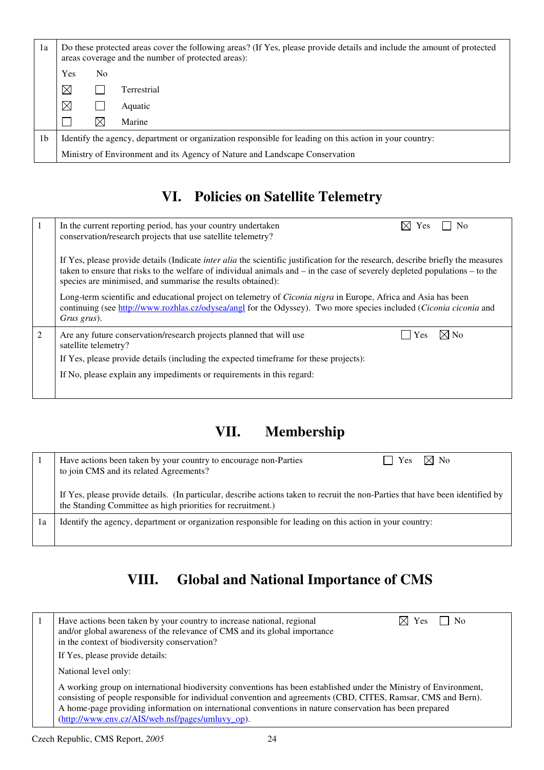| 1a             |             |                | Do these protected areas cover the following areas? (If Yes, please provide details and include the amount of protected<br>areas coverage and the number of protected areas): |
|----------------|-------------|----------------|-------------------------------------------------------------------------------------------------------------------------------------------------------------------------------|
|                | Yes         | N <sub>0</sub> |                                                                                                                                                                               |
|                | $\boxtimes$ |                | Terrestrial                                                                                                                                                                   |
|                | $\boxtimes$ |                | Aquatic                                                                                                                                                                       |
|                |             | $\bowtie$      | Marine                                                                                                                                                                        |
| 1 <sub>b</sub> |             |                | Identify the agency, department or organization responsible for leading on this action in your country:                                                                       |
|                |             |                | Ministry of Environment and its Agency of Nature and Landscape Conservation                                                                                                   |

## **VI. Policies on Satellite Telemetry**

|   | $\boxtimes$ Yes<br>$\overline{\phantom{0}}$ No<br>In the current reporting period, has your country undertaken<br>conservation/research projects that use satellite telemetry?                                                                                                                                                            |
|---|-------------------------------------------------------------------------------------------------------------------------------------------------------------------------------------------------------------------------------------------------------------------------------------------------------------------------------------------|
|   | If Yes, please provide details (Indicate <i>inter alia</i> the scientific justification for the research, describe briefly the measures<br>taken to ensure that risks to the welfare of individual animals and $-$ in the case of severely depleted populations $-$ to the<br>species are minimised, and summarise the results obtained): |
|   | Long-term scientific and educational project on telemetry of <i>Ciconia nigra</i> in Europe, Africa and Asia has been<br>continuing (see http://www.rozhlas.cz/odysea/angl for the Odyssey). Two more species included (Ciconia ciconia and<br>Grus grus).                                                                                |
| 2 | ⊠ No<br>Are any future conservation/research projects planned that will use<br>Yes<br>satellite telemetry?                                                                                                                                                                                                                                |
|   | If Yes, please provide details (including the expected timeframe for these projects):                                                                                                                                                                                                                                                     |
|   | If No, please explain any impediments or requirements in this regard:                                                                                                                                                                                                                                                                     |
|   |                                                                                                                                                                                                                                                                                                                                           |

# **VII. Membership**

|    | $\boxtimes$ No<br>Have actions been taken by your country to encourage non-Parties<br>Yes<br>to join CMS and its related Agreements?                                                          |
|----|-----------------------------------------------------------------------------------------------------------------------------------------------------------------------------------------------|
|    | If Yes, please provide details. (In particular, describe actions taken to recruit the non-Parties that have been identified by<br>the Standing Committee as high priorities for recruitment.) |
| 1a | Identify the agency, department or organization responsible for leading on this action in your country:                                                                                       |

# **VIII. Global and National Importance of CMS**

| Have actions been taken by your country to increase national, regional<br>$\overline{N}$<br>$\boxtimes$ Yes<br>and/or global awareness of the relevance of CMS and its global importance<br>in the context of biodiversity conservation?                                                                                                                                                          |
|---------------------------------------------------------------------------------------------------------------------------------------------------------------------------------------------------------------------------------------------------------------------------------------------------------------------------------------------------------------------------------------------------|
| If Yes, please provide details:                                                                                                                                                                                                                                                                                                                                                                   |
| National level only:                                                                                                                                                                                                                                                                                                                                                                              |
| A working group on international biodiversity conventions has been established under the Ministry of Environment,<br>consisting of people responsible for individual convention and agreements (CBD, CITES, Ramsar, CMS and Bern).<br>A home-page providing information on international conventions in nature conservation has been prepared<br>(http://www.env.cz/AIS/web.nsf/pages/umluvy_op). |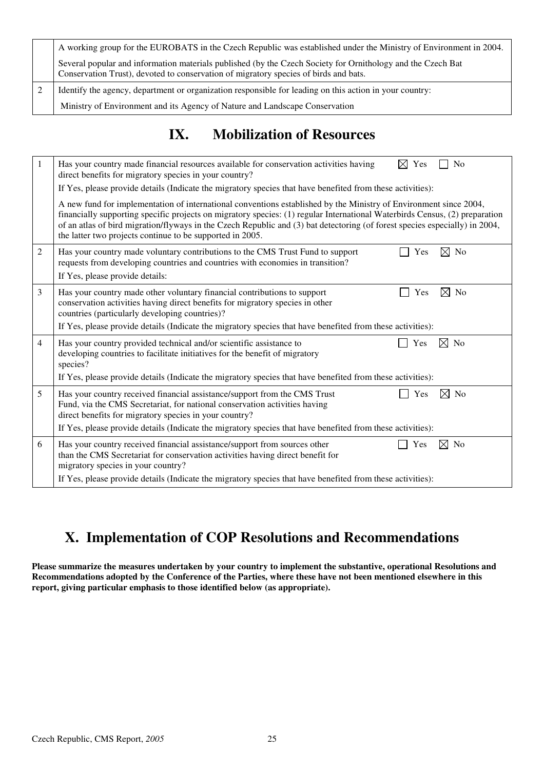| A working group for the EUROBATS in the Czech Republic was established under the Ministry of Environment in 2004.                                                                                   |
|-----------------------------------------------------------------------------------------------------------------------------------------------------------------------------------------------------|
| Several popular and information materials published (by the Czech Society for Ornithology and the Czech Bat<br>Conservation Trust), devoted to conservation of migratory species of birds and bats. |
| Identify the agency, department or organization responsible for leading on this action in your country:                                                                                             |
| Ministry of Environment and its Agency of Nature and Landscape Conservation                                                                                                                         |

# **IX. Mobilization of Resources**

| $\mathbf{1}$   | $\boxtimes$ Yes<br>No<br>Has your country made financial resources available for conservation activities having<br>direct benefits for migratory species in your country?<br>If Yes, please provide details (Indicate the migratory species that have benefited from these activities):                                                                                                                                                      |  |  |  |  |  |  |  |
|----------------|----------------------------------------------------------------------------------------------------------------------------------------------------------------------------------------------------------------------------------------------------------------------------------------------------------------------------------------------------------------------------------------------------------------------------------------------|--|--|--|--|--|--|--|
|                | A new fund for implementation of international conventions established by the Ministry of Environment since 2004,<br>financially supporting specific projects on migratory species: (1) regular International Waterbirds Census, (2) preparation<br>of an atlas of bird migration/flyways in the Czech Republic and (3) bat detectoring (of forest species especially) in 2004,<br>the latter two projects continue to be supported in 2005. |  |  |  |  |  |  |  |
| 2              | $\boxtimes$ No<br>Has your country made voluntary contributions to the CMS Trust Fund to support<br>Yes<br>requests from developing countries and countries with economies in transition?<br>If Yes, please provide details:                                                                                                                                                                                                                 |  |  |  |  |  |  |  |
| 3              | $\boxtimes$ No<br>Has your country made other voluntary financial contributions to support<br>Yes<br>conservation activities having direct benefits for migratory species in other<br>countries (particularly developing countries)?<br>If Yes, please provide details (Indicate the migratory species that have benefited from these activities):                                                                                           |  |  |  |  |  |  |  |
| $\overline{4}$ | Has your country provided technical and/or scientific assistance to<br>No<br>Yes<br>$\bowtie$<br>developing countries to facilitate initiatives for the benefit of migratory<br>species?<br>If Yes, please provide details (Indicate the migratory species that have benefited from these activities):                                                                                                                                       |  |  |  |  |  |  |  |
| 5              | Has your country received financial assistance/support from the CMS Trust<br>No<br>Yes<br>$\bowtie$<br>Fund, via the CMS Secretariat, for national conservation activities having<br>direct benefits for migratory species in your country?<br>If Yes, please provide details (Indicate the migratory species that have benefited from these activities):                                                                                    |  |  |  |  |  |  |  |
| 6              | ⊠<br>Has your country received financial assistance/support from sources other<br>N <sub>o</sub><br>Yes<br>than the CMS Secretariat for conservation activities having direct benefit for<br>migratory species in your country?<br>If Yes, please provide details (Indicate the migratory species that have benefited from these activities):                                                                                                |  |  |  |  |  |  |  |

# **X. Implementation of COP Resolutions and Recommendations**

**Please summarize the measures undertaken by your country to implement the substantive, operational Resolutions and Recommendations adopted by the Conference of the Parties, where these have not been mentioned elsewhere in this report, giving particular emphasis to those identified below (as appropriate).**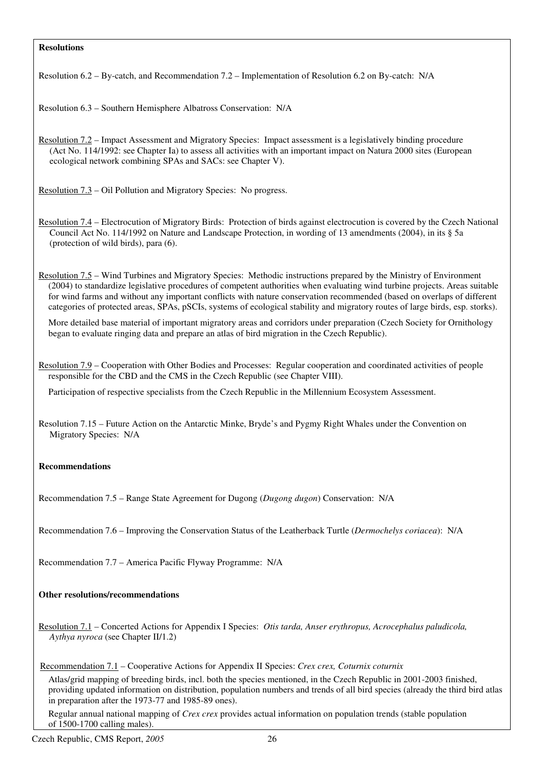#### **Resolutions**

Resolution 6.2 – By-catch, and Recommendation 7.2 – Implementation of Resolution 6.2 on By-catch: N/A

Resolution 6.3 – Southern Hemisphere Albatross Conservation: N/A

Resolution 7.2 – Impact Assessment and Migratory Species: Impact assessment is a legislatively binding procedure (Act No. 114/1992: see Chapter Ia) to assess all activities with an important impact on Natura 2000 sites (European ecological network combining SPAs and SACs: see Chapter V).

Resolution 7.3 – Oil Pollution and Migratory Species: No progress.

Resolution 7.4 – Electrocution of Migratory Birds: Protection of birds against electrocution is covered by the Czech National Council Act No. 114/1992 on Nature and Landscape Protection, in wording of 13 amendments (2004), in its § 5a (protection of wild birds), para (6).

Resolution 7.5 – Wind Turbines and Migratory Species: Methodic instructions prepared by the Ministry of Environment (2004) to standardize legislative procedures of competent authorities when evaluating wind turbine projects. Areas suitable for wind farms and without any important conflicts with nature conservation recommended (based on overlaps of different categories of protected areas, SPAs, pSCIs, systems of ecological stability and migratory routes of large birds, esp. storks).

More detailed base material of important migratory areas and corridors under preparation (Czech Society for Ornithology began to evaluate ringing data and prepare an atlas of bird migration in the Czech Republic).

Resolution 7.9 – Cooperation with Other Bodies and Processes: Regular cooperation and coordinated activities of people responsible for the CBD and the CMS in the Czech Republic (see Chapter VIII).

Participation of respective specialists from the Czech Republic in the Millennium Ecosystem Assessment.

Resolution 7.15 – Future Action on the Antarctic Minke, Bryde's and Pygmy Right Whales under the Convention on Migratory Species: N/A

#### **Recommendations**

Recommendation 7.5 – Range State Agreement for Dugong (*Dugong dugon*) Conservation: N/A

Recommendation 7.6 – Improving the Conservation Status of the Leatherback Turtle (*Dermochelys coriacea*): N/A

Recommendation 7.7 – America Pacific Flyway Programme: N/A

#### **Other resolutions/recommendations**

Resolution 7.1 – Concerted Actions for Appendix I Species: *Otis tarda, Anser erythropus, Acrocephalus paludicola, Aythya nyroca* (see Chapter II/1.2)

#### Recommendation 7.1 – Cooperative Actions for Appendix II Species: *Crex crex, Coturnix coturnix*

Atlas/grid mapping of breeding birds, incl. both the species mentioned, in the Czech Republic in 2001-2003 finished, providing updated information on distribution, population numbers and trends of all bird species (already the third bird atlas in preparation after the 1973-77 and 1985-89 ones).

Regular annual national mapping of *Crex crex* provides actual information on population trends (stable population of 1500-1700 calling males).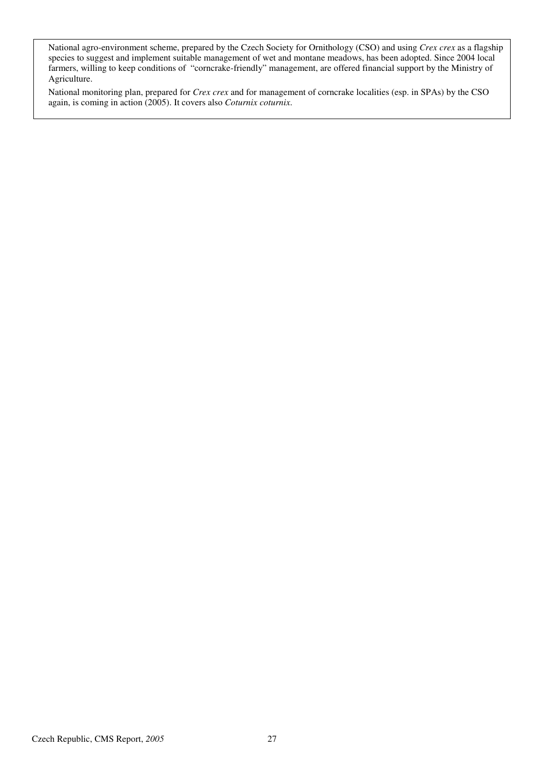National agro-environment scheme, prepared by the Czech Society for Ornithology (CSO) and using *Crex crex* as a flagship species to suggest and implement suitable management of wet and montane meadows, has been adopted. Since 2004 local farmers, willing to keep conditions of "corncrake-friendly" management, are offered financial support by the Ministry of Agriculture.

National monitoring plan, prepared for *Crex crex* and for management of corncrake localities (esp. in SPAs) by the CSO again, is coming in action (2005). It covers also *Coturnix coturnix*.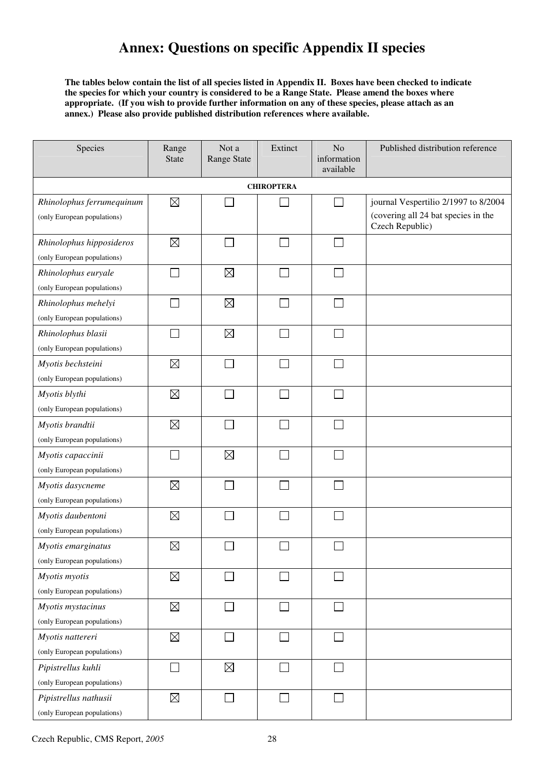## **Annex: Questions on specific Appendix II species**

**The tables below contain the list of all species listed in Appendix II. Boxes have been checked to indicate the species for which your country is considered to be a Range State. Please amend the boxes where appropriate. (If you wish to provide further information on any of these species, please attach as an annex.) Please also provide published distribution references where available.** 

| Species                                                  | Range<br><b>State</b> | Not a<br>Range State | Extinct           | No<br>information<br>available | Published distribution reference                                                               |
|----------------------------------------------------------|-----------------------|----------------------|-------------------|--------------------------------|------------------------------------------------------------------------------------------------|
|                                                          |                       |                      | <b>CHIROPTERA</b> |                                |                                                                                                |
| Rhinolophus ferrumequinum<br>(only European populations) | $\boxtimes$           |                      |                   | ×                              | journal Vespertilio 2/1997 to 8/2004<br>(covering all 24 bat species in the<br>Czech Republic) |
| Rhinolophus hipposideros<br>(only European populations)  | $\boxtimes$           |                      | ×                 | T.                             |                                                                                                |
| Rhinolophus euryale<br>(only European populations)       |                       | $\boxtimes$          |                   | $\mathcal{L}$                  |                                                                                                |
| Rhinolophus mehelyi<br>(only European populations)       |                       | $\boxtimes$          |                   |                                |                                                                                                |
| Rhinolophus blasii<br>(only European populations)        |                       | $\boxtimes$          |                   |                                |                                                                                                |
| Myotis bechsteini<br>(only European populations)         | $\boxtimes$           |                      |                   | ٦                              |                                                                                                |
| Myotis blythi<br>(only European populations)             | $\boxtimes$           |                      |                   | $\mathcal{L}$                  |                                                                                                |
| Myotis brandtii<br>(only European populations)           | $\boxtimes$           |                      |                   | $\mathcal{L}$                  |                                                                                                |
| Myotis capaccinii<br>(only European populations)         |                       | $\boxtimes$          |                   | ٦                              |                                                                                                |
| Myotis dasycneme<br>(only European populations)          | $\boxtimes$           |                      |                   |                                |                                                                                                |
| Myotis daubentoni<br>(only European populations)         | $\boxtimes$           |                      |                   |                                |                                                                                                |
| Myotis emarginatus<br>(only European populations)        | $\boxtimes$           |                      |                   |                                |                                                                                                |
| Myotis myotis<br>(only European populations)             | $\boxtimes$           |                      | $\blacksquare$    | П                              |                                                                                                |
| Myotis mystacinus<br>(only European populations)         | $\boxtimes$           |                      |                   | $\overline{\phantom{0}}$       |                                                                                                |
| Myotis nattereri<br>(only European populations)          | $\boxtimes$           |                      |                   |                                |                                                                                                |
| Pipistrellus kuhli<br>(only European populations)        |                       | $\boxtimes$          |                   |                                |                                                                                                |
| Pipistrellus nathusii<br>(only European populations)     | $\boxtimes$           |                      |                   |                                |                                                                                                |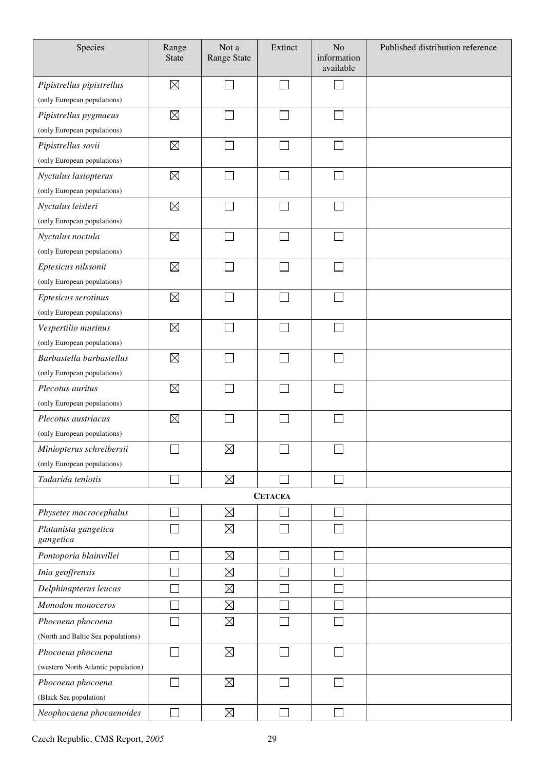| Species                             | Range<br><b>State</b> | Not a<br><b>Range State</b> | Extinct                     | No<br>information<br>available | Published distribution reference |
|-------------------------------------|-----------------------|-----------------------------|-----------------------------|--------------------------------|----------------------------------|
| Pipistrellus pipistrellus           | $\boxtimes$           |                             | $\Box$                      |                                |                                  |
| (only European populations)         |                       |                             |                             |                                |                                  |
| Pipistrellus pygmaeus               | $\boxtimes$           |                             |                             |                                |                                  |
| (only European populations)         |                       |                             |                             |                                |                                  |
| Pipistrellus savii                  | $\boxtimes$           |                             | $\mathcal{L}_{\mathcal{A}}$ |                                |                                  |
| (only European populations)         |                       |                             |                             |                                |                                  |
| Nyctalus lasiopterus                | $\boxtimes$           |                             |                             |                                |                                  |
| (only European populations)         |                       |                             |                             |                                |                                  |
| Nyctalus leisleri                   | $\boxtimes$           |                             | $\mathcal{L}_{\mathcal{A}}$ |                                |                                  |
| (only European populations)         |                       |                             |                             |                                |                                  |
| Nyctalus noctula                    | $\boxtimes$           |                             |                             |                                |                                  |
| (only European populations)         |                       |                             |                             |                                |                                  |
| Eptesicus nilssonii                 | $\boxtimes$           |                             |                             |                                |                                  |
| (only European populations)         |                       |                             |                             |                                |                                  |
| Eptesicus serotinus                 | $\boxtimes$           |                             |                             |                                |                                  |
| (only European populations)         |                       |                             |                             |                                |                                  |
| Vespertilio murinus                 | $\boxtimes$           |                             |                             |                                |                                  |
| (only European populations)         |                       |                             |                             |                                |                                  |
| Barbastella barbastellus            | $\boxtimes$           |                             |                             |                                |                                  |
| (only European populations)         |                       |                             |                             |                                |                                  |
| Plecotus auritus                    | $\boxtimes$           |                             |                             |                                |                                  |
| (only European populations)         |                       |                             |                             |                                |                                  |
| Plecotus austriacus                 | $\boxtimes$           |                             |                             |                                |                                  |
| (only European populations)         |                       |                             |                             |                                |                                  |
| Miniopterus schreibersii            | П                     | $\boxtimes$                 | П                           | $\Box$                         |                                  |
| (only European populations)         |                       |                             |                             |                                |                                  |
| Tadarida teniotis                   |                       | $\boxtimes$                 |                             |                                |                                  |
|                                     |                       |                             | <b>CETACEA</b>              |                                |                                  |
| Physeter macrocephalus              |                       | $\boxtimes$                 |                             |                                |                                  |
| Platanista gangetica<br>gangetica   |                       | $\boxtimes$                 |                             |                                |                                  |
| Pontoporia blainvillei              |                       | $\boxtimes$                 |                             |                                |                                  |
| Inia geoffrensis                    |                       | $\boxtimes$                 |                             |                                |                                  |
| Delphinapterus leucas               |                       | $\boxtimes$                 |                             |                                |                                  |
| Monodon monoceros                   |                       | $\boxtimes$                 |                             |                                |                                  |
| Phocoena phocoena                   |                       | $\boxtimes$                 |                             |                                |                                  |
| (North and Baltic Sea populations)  |                       |                             |                             |                                |                                  |
| Phocoena phocoena                   |                       | $\boxtimes$                 |                             |                                |                                  |
| (western North Atlantic population) |                       |                             |                             |                                |                                  |
| Phocoena phocoena                   |                       | $\boxtimes$                 |                             |                                |                                  |
| (Black Sea population)              |                       |                             |                             |                                |                                  |
| Neophocaena phocaenoides            |                       | $\boxtimes$                 |                             |                                |                                  |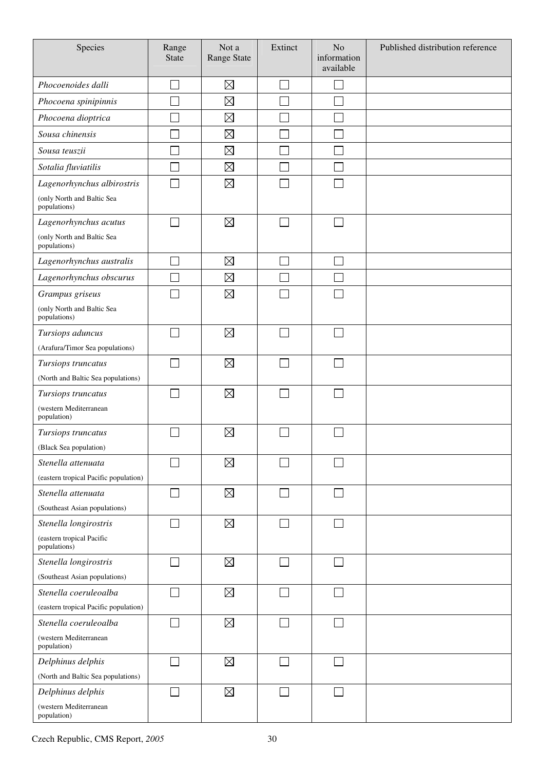| Species                                            | Range<br><b>State</b> | Not a<br>Range State | Extinct | N <sub>o</sub><br>information<br>available | Published distribution reference |
|----------------------------------------------------|-----------------------|----------------------|---------|--------------------------------------------|----------------------------------|
| Phocoenoides dalli                                 |                       | $\boxtimes$          |         |                                            |                                  |
| Phocoena spinipinnis                               |                       | $\boxtimes$          |         |                                            |                                  |
| Phocoena dioptrica                                 |                       | $\boxtimes$          |         |                                            |                                  |
| Sousa chinensis                                    |                       | $\boxtimes$          |         |                                            |                                  |
| Sousa teuszii                                      |                       | $\boxtimes$          |         |                                            |                                  |
| Sotalia fluviatilis                                |                       | $\boxtimes$          |         |                                            |                                  |
| Lagenorhynchus albirostris                         |                       | $\boxtimes$          |         |                                            |                                  |
| (only North and Baltic Sea<br>populations)         |                       |                      |         |                                            |                                  |
| Lagenorhynchus acutus                              | $\sim$                | $\boxtimes$          |         |                                            |                                  |
| (only North and Baltic Sea<br>populations)         |                       |                      |         |                                            |                                  |
| Lagenorhynchus australis                           | $\sim$                | $\boxtimes$          |         |                                            |                                  |
| Lagenorhynchus obscurus                            |                       | $\boxtimes$          |         |                                            |                                  |
| Grampus griseus                                    |                       | $\boxtimes$          |         |                                            |                                  |
| (only North and Baltic Sea<br>populations)         |                       |                      |         |                                            |                                  |
| Tursiops aduncus                                   |                       | $\boxtimes$          |         |                                            |                                  |
| (Arafura/Timor Sea populations)                    |                       |                      |         |                                            |                                  |
| Tursiops truncatus                                 |                       | $\boxtimes$          |         |                                            |                                  |
| (North and Baltic Sea populations)                 |                       |                      |         |                                            |                                  |
| Tursiops truncatus                                 |                       | $\boxtimes$          |         |                                            |                                  |
| (western Mediterranean<br>population)              |                       |                      |         |                                            |                                  |
| Tursiops truncatus                                 |                       | $\boxtimes$          |         |                                            |                                  |
| (Black Sea population)                             |                       |                      |         |                                            |                                  |
| Stenella attenuata                                 |                       | $\boxtimes$          |         |                                            |                                  |
| (eastern tropical Pacific population)              |                       |                      |         |                                            |                                  |
| Stenella attenuata                                 |                       | $\boxtimes$          |         |                                            |                                  |
| (Southeast Asian populations)                      |                       |                      |         |                                            |                                  |
| Stenella longirostris<br>(eastern tropical Pacific |                       | $\boxtimes$          |         |                                            |                                  |
| populations)                                       |                       |                      |         |                                            |                                  |
| Stenella longirostris                              | $\sim$                | $\boxtimes$          |         | $\sim$                                     |                                  |
| (Southeast Asian populations)                      |                       |                      |         |                                            |                                  |
| Stenella coeruleoalba                              |                       | $\boxtimes$          |         |                                            |                                  |
| (eastern tropical Pacific population)              |                       |                      |         |                                            |                                  |
| Stenella coeruleoalba                              | $\sim$                | $\boxtimes$          |         |                                            |                                  |
| (western Mediterranean<br>population)              |                       |                      |         |                                            |                                  |
| Delphinus delphis                                  |                       | $\boxtimes$          |         |                                            |                                  |
| (North and Baltic Sea populations)                 |                       |                      |         |                                            |                                  |
| Delphinus delphis                                  |                       | $\boxtimes$          |         |                                            |                                  |
| (western Mediterranean<br>population)              |                       |                      |         |                                            |                                  |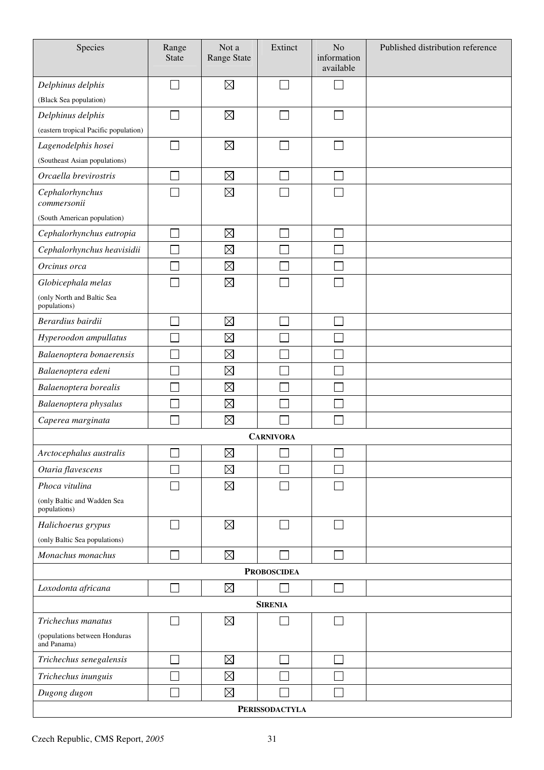| Species                                      | Range<br><b>State</b> | Not a<br>Range State | Extinct                     | No<br>information<br>available | Published distribution reference |  |  |
|----------------------------------------------|-----------------------|----------------------|-----------------------------|--------------------------------|----------------------------------|--|--|
| Delphinus delphis                            |                       | $\boxtimes$          | $\sim$                      |                                |                                  |  |  |
| (Black Sea population)                       |                       |                      |                             |                                |                                  |  |  |
| Delphinus delphis                            |                       | $\boxtimes$          |                             |                                |                                  |  |  |
| (eastern tropical Pacific population)        |                       |                      |                             |                                |                                  |  |  |
| Lagenodelphis hosei                          |                       | $\boxtimes$          |                             |                                |                                  |  |  |
| (Southeast Asian populations)                |                       |                      |                             |                                |                                  |  |  |
| Orcaella brevirostris                        |                       | $\boxtimes$          |                             |                                |                                  |  |  |
| Cephalorhynchus<br>commersonii               |                       | $\boxtimes$          |                             |                                |                                  |  |  |
| (South American population)                  |                       |                      |                             |                                |                                  |  |  |
| Cephalorhynchus eutropia                     |                       | $\boxtimes$          | Г                           |                                |                                  |  |  |
| Cephalorhynchus heavisidii                   | Ξ                     | $\boxtimes$          |                             |                                |                                  |  |  |
| Orcinus orca                                 |                       | $\boxtimes$          |                             |                                |                                  |  |  |
| Globicephala melas                           |                       | $\boxtimes$          |                             |                                |                                  |  |  |
| (only North and Baltic Sea<br>populations)   |                       |                      |                             |                                |                                  |  |  |
| Berardius bairdii                            |                       | $\boxtimes$          |                             |                                |                                  |  |  |
| Hyperoodon ampullatus                        |                       | $\boxtimes$          |                             |                                |                                  |  |  |
| Balaenoptera bonaerensis                     |                       | $\boxtimes$          |                             |                                |                                  |  |  |
| Balaenoptera edeni                           |                       | $\boxtimes$          |                             |                                |                                  |  |  |
| Balaenoptera borealis                        |                       | $\boxtimes$          |                             |                                |                                  |  |  |
| Balaenoptera physalus                        |                       | $\boxtimes$          |                             |                                |                                  |  |  |
| Caperea marginata                            |                       | $\boxtimes$          |                             |                                |                                  |  |  |
|                                              |                       |                      | <b>CARNIVORA</b>            |                                |                                  |  |  |
| Arctocephalus australis                      |                       | $\boxtimes$          |                             |                                |                                  |  |  |
| Otaria flavescens                            |                       | $\boxtimes$          |                             |                                |                                  |  |  |
| Phoca vitulina                               |                       | $\boxtimes$          |                             |                                |                                  |  |  |
| (only Baltic and Wadden Sea<br>populations)  |                       |                      |                             |                                |                                  |  |  |
| Halichoerus grypus                           |                       | $\boxtimes$          |                             |                                |                                  |  |  |
| (only Baltic Sea populations)                |                       |                      |                             |                                |                                  |  |  |
| Monachus monachus                            |                       | $\boxtimes$          |                             |                                |                                  |  |  |
|                                              |                       |                      | <b>PROBOSCIDEA</b>          |                                |                                  |  |  |
| Loxodonta africana                           |                       | $\boxtimes$          |                             |                                |                                  |  |  |
| <b>SIRENIA</b>                               |                       |                      |                             |                                |                                  |  |  |
| Trichechus manatus                           |                       | $\boxtimes$          |                             |                                |                                  |  |  |
| (populations between Honduras<br>and Panama) |                       |                      |                             |                                |                                  |  |  |
| Trichechus senegalensis                      |                       | $\boxtimes$          | $\mathcal{L}_{\mathcal{A}}$ |                                |                                  |  |  |
| Trichechus inunguis                          |                       | $\boxtimes$          |                             |                                |                                  |  |  |
| Dugong dugon                                 |                       | $\boxtimes$          |                             |                                |                                  |  |  |
|                                              |                       |                      | <b>PERISSODACTYLA</b>       |                                |                                  |  |  |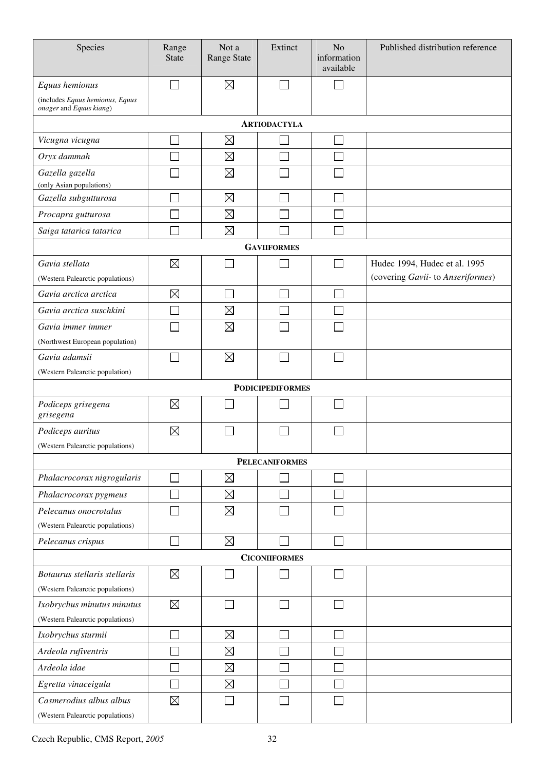| Species                                                    | Range<br><b>State</b>       | Not a<br><b>Range State</b> | Extinct                 | N <sub>o</sub><br>information<br>available | Published distribution reference  |
|------------------------------------------------------------|-----------------------------|-----------------------------|-------------------------|--------------------------------------------|-----------------------------------|
| Equus hemionus                                             |                             | $\boxtimes$                 |                         |                                            |                                   |
| (includes Equus hemionus, Equus<br>onager and Equus kiang) |                             |                             |                         |                                            |                                   |
|                                                            |                             |                             | <b>ARTIODACTYLA</b>     |                                            |                                   |
| Vicugna vicugna                                            |                             | $\boxtimes$                 |                         | $\mathcal{L}$                              |                                   |
| Oryx dammah                                                |                             | $\boxtimes$                 |                         |                                            |                                   |
| Gazella gazella                                            |                             | $\boxtimes$                 |                         |                                            |                                   |
| (only Asian populations)                                   |                             |                             |                         |                                            |                                   |
| Gazella subgutturosa                                       |                             | $\boxtimes$                 |                         |                                            |                                   |
| Procapra gutturosa                                         |                             | $\boxtimes$                 |                         |                                            |                                   |
| Saiga tatarica tatarica                                    |                             | $\boxtimes$                 |                         |                                            |                                   |
|                                                            |                             |                             | <b>GAVIIFORMES</b>      |                                            |                                   |
| Gavia stellata                                             | $\boxtimes$                 |                             |                         |                                            | Hudec 1994, Hudec et al. 1995     |
| (Western Palearctic populations)                           |                             |                             |                         |                                            | (covering Gavii- to Anseriformes) |
| Gavia arctica arctica                                      | $\boxtimes$                 |                             |                         | $\mathcal{L}_{\mathcal{A}}$                |                                   |
| Gavia arctica suschkini                                    | $\mathcal{L}_{\mathcal{A}}$ | $\boxtimes$                 |                         | $\mathcal{L}_{\mathcal{A}}$                |                                   |
| Gavia immer immer                                          |                             | $\boxtimes$                 |                         |                                            |                                   |
| (Northwest European population)                            |                             |                             |                         |                                            |                                   |
| Gavia adamsii                                              | $\mathcal{L}_{\mathcal{A}}$ | $\boxtimes$                 |                         | ×.                                         |                                   |
| (Western Palearctic population)                            |                             |                             |                         |                                            |                                   |
|                                                            |                             |                             | <b>PODICIPEDIFORMES</b> |                                            |                                   |
| Podiceps grisegena<br>grisegena                            | $\boxtimes$                 |                             |                         |                                            |                                   |
| Podiceps auritus                                           | $\boxtimes$                 |                             |                         |                                            |                                   |
| (Western Palearctic populations)                           |                             |                             |                         |                                            |                                   |
|                                                            |                             |                             | <b>PELECANIFORMES</b>   |                                            |                                   |
| Phalacrocorax nigrogularis                                 |                             | $\boxtimes$                 |                         |                                            |                                   |
| Phalacrocorax pygmeus                                      |                             | $\boxtimes$                 |                         |                                            |                                   |
| Pelecanus onocrotalus                                      |                             | $\boxtimes$                 |                         |                                            |                                   |
| (Western Palearctic populations)                           |                             |                             |                         |                                            |                                   |
| Pelecanus crispus                                          |                             | $\boxtimes$                 |                         |                                            |                                   |
|                                                            |                             |                             | <b>CICONIIFORMES</b>    |                                            |                                   |
| Botaurus stellaris stellaris                               | $\boxtimes$                 |                             |                         |                                            |                                   |
| (Western Palearctic populations)                           |                             |                             |                         |                                            |                                   |
| Ixobrychus minutus minutus                                 | $\boxtimes$                 |                             |                         |                                            |                                   |
| (Western Palearctic populations)                           |                             |                             |                         |                                            |                                   |
| Ixobrychus sturmii                                         |                             | $\boxtimes$                 |                         |                                            |                                   |
| Ardeola rufiventris                                        |                             | $\boxtimes$                 |                         |                                            |                                   |
| Ardeola idae                                               |                             | $\boxtimes$                 |                         |                                            |                                   |
| Egretta vinaceigula                                        |                             | $\boxtimes$                 |                         |                                            |                                   |
| Casmerodius albus albus                                    | $\boxtimes$                 |                             |                         |                                            |                                   |
| (Western Palearctic populations)                           |                             |                             |                         |                                            |                                   |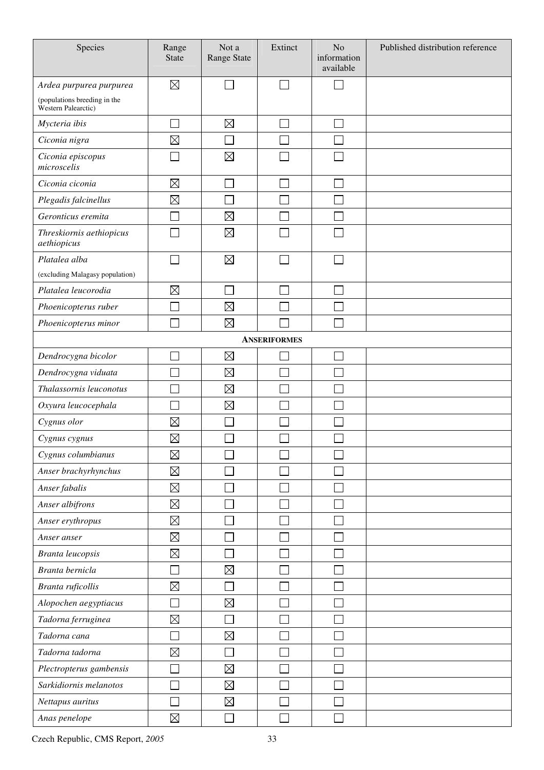| Species                                             | Range<br><b>State</b> | Not a<br>Range State | Extinct             | N <sub>o</sub><br>information<br>available | Published distribution reference |
|-----------------------------------------------------|-----------------------|----------------------|---------------------|--------------------------------------------|----------------------------------|
| Ardea purpurea purpurea                             | $\boxtimes$           |                      |                     |                                            |                                  |
| (populations breeding in the<br>Western Palearctic) |                       |                      |                     |                                            |                                  |
| Mycteria ibis                                       |                       | $\boxtimes$          |                     |                                            |                                  |
| Ciconia nigra                                       | $\boxtimes$           |                      |                     |                                            |                                  |
| Ciconia episcopus<br>microscelis                    |                       | $\boxtimes$          |                     |                                            |                                  |
| Ciconia ciconia                                     | $\boxtimes$           |                      |                     |                                            |                                  |
| Plegadis falcinellus                                | $\boxtimes$           |                      |                     |                                            |                                  |
| Geronticus eremita                                  |                       | $\boxtimes$          |                     |                                            |                                  |
| Threskiornis aethiopicus<br>aethiopicus             |                       | $\boxtimes$          |                     |                                            |                                  |
| Platalea alba                                       |                       | $\boxtimes$          |                     |                                            |                                  |
| (excluding Malagasy population)                     |                       |                      |                     |                                            |                                  |
| Platalea leucorodia                                 | $\boxtimes$           |                      |                     |                                            |                                  |
| Phoenicopterus ruber                                |                       | $\boxtimes$          |                     |                                            |                                  |
| Phoenicopterus minor                                |                       | $\boxtimes$          |                     |                                            |                                  |
|                                                     |                       |                      | <b>ANSERIFORMES</b> |                                            |                                  |
| Dendrocygna bicolor                                 |                       | $\boxtimes$          |                     |                                            |                                  |
| Dendrocygna viduata                                 |                       | $\boxtimes$          |                     |                                            |                                  |
| Thalassornis leuconotus                             |                       | $\boxtimes$          |                     |                                            |                                  |
| Oxyura leucocephala                                 |                       | $\boxtimes$          |                     |                                            |                                  |
| Cygnus olor                                         | $\boxtimes$           |                      |                     |                                            |                                  |
| Cygnus cygnus                                       | $\boxtimes$           |                      |                     |                                            |                                  |
| Cygnus columbianus                                  | $\boxtimes$           |                      |                     |                                            |                                  |
| Anser brachyrhynchus                                | $\boxtimes$           |                      |                     |                                            |                                  |
| Anser fabalis                                       | $\boxtimes$           |                      |                     |                                            |                                  |
| Anser albifrons                                     | $\boxtimes$           |                      |                     |                                            |                                  |
| Anser erythropus                                    | $\boxtimes$           |                      |                     |                                            |                                  |
| Anser anser                                         | $\boxtimes$           |                      |                     |                                            |                                  |
| Branta leucopsis                                    | $\boxtimes$           |                      |                     |                                            |                                  |
| Branta bernicla                                     |                       | $\boxtimes$          |                     |                                            |                                  |
| Branta ruficollis                                   | $\boxtimes$           |                      |                     |                                            |                                  |
| Alopochen aegyptiacus                               |                       | $\boxtimes$          |                     |                                            |                                  |
| Tadorna ferruginea                                  | $\boxtimes$           |                      |                     |                                            |                                  |
| Tadorna cana                                        |                       | $\boxtimes$          |                     |                                            |                                  |
| Tadorna tadorna                                     | $\boxtimes$           |                      |                     |                                            |                                  |
| Plectropterus gambensis                             |                       | $\boxtimes$          |                     |                                            |                                  |
| Sarkidiornis melanotos                              |                       | $\boxtimes$          |                     |                                            |                                  |
| Nettapus auritus                                    |                       | $\boxtimes$          |                     |                                            |                                  |
| Anas penelope                                       | $\boxtimes$           |                      |                     |                                            |                                  |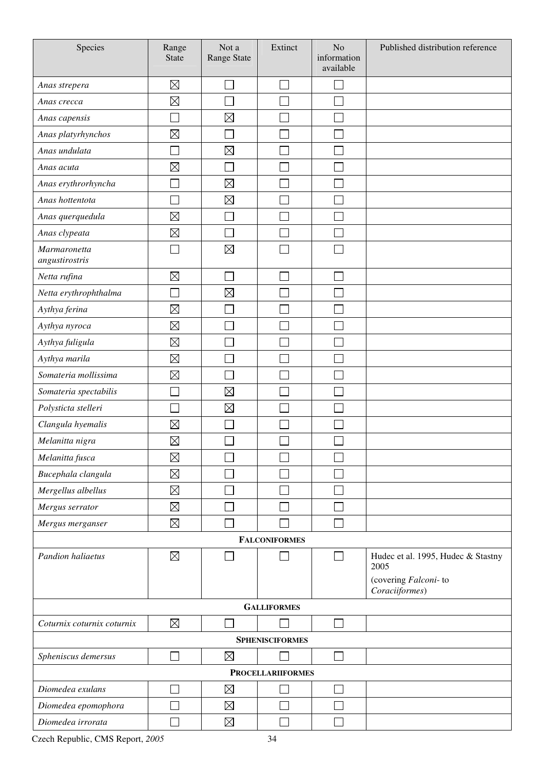| Species                        | Range<br><b>State</b> | Not a<br>Range State | Extinct                  | N <sub>o</sub><br>information<br>available | Published distribution reference           |  |  |  |
|--------------------------------|-----------------------|----------------------|--------------------------|--------------------------------------------|--------------------------------------------|--|--|--|
| Anas strepera                  | $\boxtimes$           |                      |                          |                                            |                                            |  |  |  |
| Anas crecca                    | $\boxtimes$           |                      |                          |                                            |                                            |  |  |  |
| Anas capensis                  |                       | $\boxtimes$          |                          |                                            |                                            |  |  |  |
| Anas platyrhynchos             | $\boxtimes$           |                      |                          |                                            |                                            |  |  |  |
| Anas undulata                  |                       | $\boxtimes$          |                          |                                            |                                            |  |  |  |
| Anas acuta                     | $\boxtimes$           |                      |                          |                                            |                                            |  |  |  |
| Anas erythrorhyncha            | Ξ                     | $\boxtimes$          |                          |                                            |                                            |  |  |  |
| Anas hottentota                |                       | $\boxtimes$          |                          |                                            |                                            |  |  |  |
| Anas querquedula               | $\boxtimes$           | Ξ                    |                          |                                            |                                            |  |  |  |
| Anas clypeata                  | $\boxtimes$           | Ξ                    | ٦                        |                                            |                                            |  |  |  |
| Marmaronetta<br>angustirostris |                       | $\boxtimes$          |                          |                                            |                                            |  |  |  |
| Netta rufina                   | $\boxtimes$           |                      |                          |                                            |                                            |  |  |  |
| Netta erythrophthalma          |                       | $\boxtimes$          |                          |                                            |                                            |  |  |  |
| Aythya ferina                  | $\boxtimes$           |                      |                          |                                            |                                            |  |  |  |
| Aythya nyroca                  | $\boxtimes$           |                      |                          |                                            |                                            |  |  |  |
| Aythya fuligula                | $\boxtimes$           |                      |                          |                                            |                                            |  |  |  |
| Aythya marila                  | $\boxtimes$           |                      |                          |                                            |                                            |  |  |  |
| Somateria mollissima           | $\boxtimes$           |                      |                          |                                            |                                            |  |  |  |
| Somateria spectabilis          |                       | $\boxtimes$          |                          |                                            |                                            |  |  |  |
| Polysticta stelleri            |                       | $\boxtimes$          |                          |                                            |                                            |  |  |  |
| Clangula hyemalis              | $\boxtimes$           |                      |                          |                                            |                                            |  |  |  |
| Melanitta nigra                | $\boxtimes$           |                      |                          |                                            |                                            |  |  |  |
| Melanitta fusca                | $\boxtimes$           |                      |                          |                                            |                                            |  |  |  |
| Bucephala clangula             | $\boxtimes$           |                      |                          |                                            |                                            |  |  |  |
| Mergellus albellus             | $\boxtimes$           |                      |                          |                                            |                                            |  |  |  |
| Mergus serrator                | $\boxtimes$           |                      |                          |                                            |                                            |  |  |  |
| Mergus merganser               | $\boxtimes$           |                      |                          |                                            |                                            |  |  |  |
|                                |                       |                      | <b>FALCONIFORMES</b>     |                                            |                                            |  |  |  |
| Pandion haliaetus              | $\boxtimes$           |                      |                          | $\sim$                                     | Hudec et al. 1995, Hudec & Stastny<br>2005 |  |  |  |
|                                |                       |                      |                          |                                            | (covering Falconi-to<br>Coraciiformes)     |  |  |  |
|                                | <b>GALLIFORMES</b>    |                      |                          |                                            |                                            |  |  |  |
| Coturnix coturnix coturnix     | $\boxtimes$           |                      |                          | $\sim$                                     |                                            |  |  |  |
|                                |                       |                      | <b>SPHENISCIFORMES</b>   |                                            |                                            |  |  |  |
| Spheniscus demersus            |                       | $\boxtimes$          |                          | $\sim$                                     |                                            |  |  |  |
|                                |                       |                      | <b>PROCELLARIIFORMES</b> |                                            |                                            |  |  |  |
| Diomedea exulans               |                       | $\boxtimes$          |                          |                                            |                                            |  |  |  |
| Diomedea epomophora            |                       | $\boxtimes$          |                          |                                            |                                            |  |  |  |
| Diomedea irrorata              |                       | $\boxtimes$          |                          |                                            |                                            |  |  |  |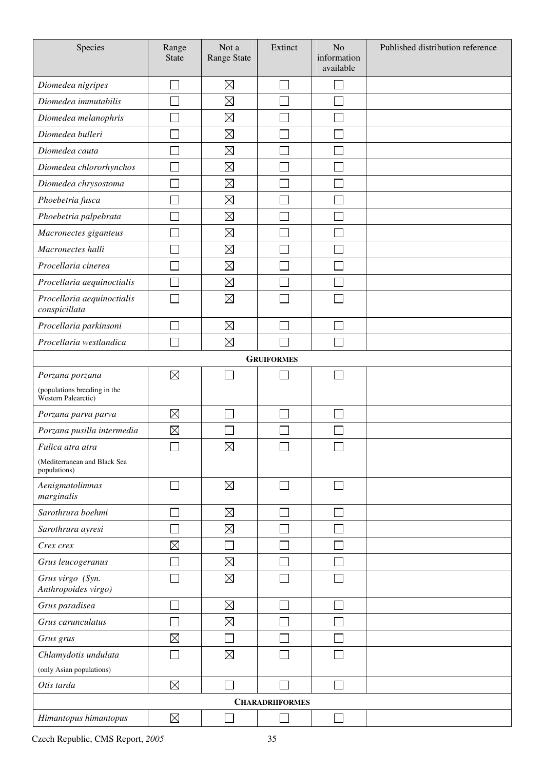| Species                                                                | Range<br><b>State</b> | Not a<br>Range State | Extinct                | No<br>information<br>available | Published distribution reference |
|------------------------------------------------------------------------|-----------------------|----------------------|------------------------|--------------------------------|----------------------------------|
| Diomedea nigripes                                                      |                       | $\boxtimes$          |                        |                                |                                  |
| Diomedea immutabilis                                                   |                       | $\boxtimes$          |                        |                                |                                  |
| Diomedea melanophris                                                   |                       | $\boxtimes$          |                        |                                |                                  |
| Diomedea bulleri                                                       |                       | $\boxtimes$          |                        |                                |                                  |
| Diomedea cauta                                                         |                       | $\boxtimes$          |                        |                                |                                  |
| Diomedea chlororhynchos                                                |                       | $\boxtimes$          |                        |                                |                                  |
| Diomedea chrysostoma                                                   |                       | $\boxtimes$          |                        |                                |                                  |
| Phoebetria fusca                                                       |                       | $\boxtimes$          |                        |                                |                                  |
| Phoebetria palpebrata                                                  |                       | $\boxtimes$          |                        |                                |                                  |
| Macronectes giganteus                                                  |                       | $\boxtimes$          |                        |                                |                                  |
| Macronectes halli                                                      |                       | $\boxtimes$          |                        |                                |                                  |
| Procellaria cinerea                                                    |                       | $\boxtimes$          |                        |                                |                                  |
| Procellaria aequinoctialis                                             |                       | $\boxtimes$          |                        |                                |                                  |
| Procellaria aequinoctialis<br>conspicillata                            |                       | $\boxtimes$          |                        |                                |                                  |
| Procellaria parkinsoni                                                 |                       | $\boxtimes$          |                        |                                |                                  |
| Procellaria westlandica                                                |                       | $\boxtimes$          |                        |                                |                                  |
|                                                                        |                       |                      | <b>GRUIFORMES</b>      |                                |                                  |
| Porzana porzana<br>(populations breeding in the<br>Western Palearctic) | $\boxtimes$           |                      |                        |                                |                                  |
| Porzana parva parva                                                    | $\boxtimes$           |                      |                        |                                |                                  |
| Porzana pusilla intermedia                                             | $\boxtimes$           |                      |                        |                                |                                  |
| Fulica atra atra<br>(Mediterranean and Black Sea<br>populations)       |                       | $\boxtimes$          |                        | ى                              |                                  |
| Aenigmatolimnas<br>marginalis                                          |                       | $\boxtimes$          | $\mathbf{L}$           | $\sim$                         |                                  |
| Sarothrura boehmi                                                      |                       | $\boxtimes$          |                        |                                |                                  |
| Sarothrura ayresi                                                      |                       | $\boxtimes$          |                        |                                |                                  |
| Crex crex                                                              | $\boxtimes$           | l.                   |                        |                                |                                  |
| Grus leucogeranus                                                      |                       | $\boxtimes$          |                        |                                |                                  |
| Grus virgo (Syn.<br>Anthropoides virgo)                                |                       | $\boxtimes$          |                        |                                |                                  |
| Grus paradisea                                                         |                       | $\boxtimes$          |                        |                                |                                  |
| Grus carunculatus                                                      |                       | $\boxtimes$          |                        |                                |                                  |
| Grus grus                                                              | $\boxtimes$           | LУ.                  |                        |                                |                                  |
| Chlamydotis undulata                                                   |                       | $\boxtimes$          |                        |                                |                                  |
| (only Asian populations)                                               |                       |                      |                        |                                |                                  |
| Otis tarda                                                             | $\boxtimes$           |                      |                        |                                |                                  |
|                                                                        |                       |                      | <b>CHARADRIIFORMES</b> |                                |                                  |
| Himantopus himantopus                                                  | $\boxtimes$           |                      |                        |                                |                                  |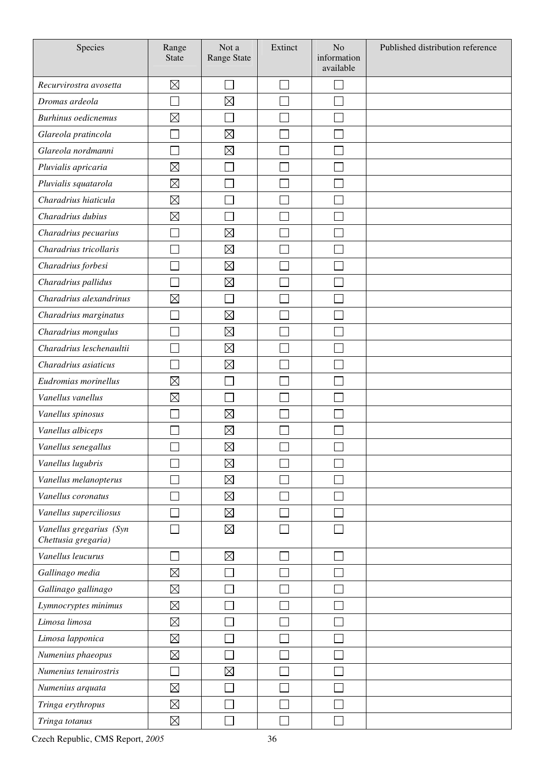| Species                                        | Range<br><b>State</b> | Not a<br><b>Range State</b> | Extinct | N <sub>o</sub><br>information<br>available | Published distribution reference |
|------------------------------------------------|-----------------------|-----------------------------|---------|--------------------------------------------|----------------------------------|
| Recurvirostra avosetta                         | $\boxtimes$           |                             |         |                                            |                                  |
| Dromas ardeola                                 |                       | $\boxtimes$                 |         |                                            |                                  |
| <b>Burhinus</b> oedicnemus                     | $\boxtimes$           |                             |         |                                            |                                  |
| Glareola pratincola                            |                       | $\boxtimes$                 |         |                                            |                                  |
| Glareola nordmanni                             |                       | $\boxtimes$                 |         |                                            |                                  |
| Pluvialis apricaria                            | $\boxtimes$           |                             |         |                                            |                                  |
| Pluvialis squatarola                           | $\boxtimes$           |                             |         |                                            |                                  |
| Charadrius hiaticula                           | $\boxtimes$           |                             |         |                                            |                                  |
| Charadrius dubius                              | $\boxtimes$           |                             |         |                                            |                                  |
| Charadrius pecuarius                           |                       | $\boxtimes$                 |         |                                            |                                  |
| Charadrius tricollaris                         |                       | $\boxtimes$                 |         |                                            |                                  |
| Charadrius forbesi                             |                       | $\boxtimes$                 |         |                                            |                                  |
| Charadrius pallidus                            |                       | $\boxtimes$                 |         |                                            |                                  |
| Charadrius alexandrinus                        | $\boxtimes$           |                             |         |                                            |                                  |
| Charadrius marginatus                          |                       | $\boxtimes$                 |         |                                            |                                  |
| Charadrius mongulus                            |                       | $\boxtimes$                 |         |                                            |                                  |
| Charadrius leschenaultii                       |                       | $\boxtimes$                 |         |                                            |                                  |
| Charadrius asiaticus                           |                       | $\boxtimes$                 |         |                                            |                                  |
| Eudromias morinellus                           | $\boxtimes$           |                             |         |                                            |                                  |
| Vanellus vanellus                              | $\boxtimes$           |                             |         |                                            |                                  |
| Vanellus spinosus                              |                       | $\boxtimes$                 |         |                                            |                                  |
| Vanellus albiceps                              |                       | $\boxtimes$                 |         |                                            |                                  |
| Vanellus senegallus                            | ᄂ                     | $\boxtimes$                 | ٮ       | ٮ                                          |                                  |
| Vanellus lugubris                              |                       | $\boxtimes$                 |         |                                            |                                  |
| Vanellus melanopterus                          |                       | $\boxtimes$                 |         |                                            |                                  |
| Vanellus coronatus                             |                       | $\boxtimes$                 |         |                                            |                                  |
| Vanellus superciliosus                         |                       | $\boxtimes$                 |         |                                            |                                  |
| Vanellus gregarius (Syn<br>Chettusia gregaria) |                       | $\boxtimes$                 |         |                                            |                                  |
| Vanellus leucurus                              |                       | $\boxtimes$                 |         |                                            |                                  |
| Gallinago media                                | $\boxtimes$           |                             |         |                                            |                                  |
| Gallinago gallinago                            | $\boxtimes$           |                             |         |                                            |                                  |
| Lymnocryptes minimus                           | $\boxtimes$           |                             |         |                                            |                                  |
| Limosa limosa                                  | $\boxtimes$           |                             |         |                                            |                                  |
| Limosa lapponica                               | $\boxtimes$           |                             |         |                                            |                                  |
| Numenius phaeopus                              | $\boxtimes$           |                             |         |                                            |                                  |
| Numenius tenuirostris                          |                       | $\boxtimes$                 |         |                                            |                                  |
| Numenius arquata                               | $\boxtimes$           |                             |         |                                            |                                  |
| Tringa erythropus                              | $\boxtimes$           |                             |         |                                            |                                  |
| Tringa totanus                                 | $\boxtimes$           |                             |         |                                            |                                  |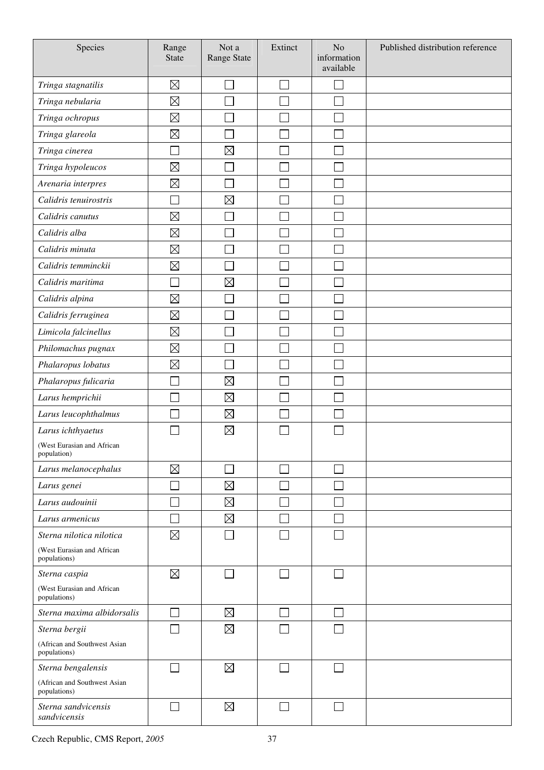| Species                                      | Range<br><b>State</b> | Not a<br>Range State | Extinct                     | No<br>information<br>available | Published distribution reference |
|----------------------------------------------|-----------------------|----------------------|-----------------------------|--------------------------------|----------------------------------|
| Tringa stagnatilis                           | $\boxtimes$           |                      | e de                        |                                |                                  |
| Tringa nebularia                             | $\boxtimes$           |                      |                             |                                |                                  |
| Tringa ochropus                              | $\boxtimes$           |                      |                             |                                |                                  |
| Tringa glareola                              | $\boxtimes$           |                      |                             |                                |                                  |
| Tringa cinerea                               | ┌                     | $\boxtimes$          |                             |                                |                                  |
| Tringa hypoleucos                            | $\boxtimes$           |                      |                             |                                |                                  |
| Arenaria interpres                           | $\boxtimes$           |                      |                             |                                |                                  |
| Calidris tenuirostris                        |                       | $\boxtimes$          |                             |                                |                                  |
| Calidris canutus                             | $\boxtimes$           |                      |                             |                                |                                  |
| Calidris alba                                | $\boxtimes$           |                      |                             |                                |                                  |
| Calidris minuta                              | $\boxtimes$           |                      |                             |                                |                                  |
| Calidris temminckii                          | $\boxtimes$           |                      |                             |                                |                                  |
| Calidris maritima                            |                       | $\boxtimes$          |                             |                                |                                  |
| Calidris alpina                              | $\boxtimes$           |                      |                             |                                |                                  |
| Calidris ferruginea                          | $\boxtimes$           |                      |                             |                                |                                  |
| Limicola falcinellus                         | $\boxtimes$           |                      |                             |                                |                                  |
| Philomachus pugnax                           | $\boxtimes$           |                      |                             |                                |                                  |
| Phalaropus lobatus                           | $\boxtimes$           |                      |                             |                                |                                  |
| Phalaropus fulicaria                         |                       | $\boxtimes$          |                             |                                |                                  |
| Larus hemprichii                             |                       | $\boxtimes$          |                             |                                |                                  |
| Larus leucophthalmus                         |                       | $\boxtimes$          |                             |                                |                                  |
| Larus ichthyaetus                            |                       | $\boxtimes$          |                             |                                |                                  |
| (West Eurasian and African<br>population)    |                       |                      |                             |                                |                                  |
| Larus melanocephalus                         | $\boxtimes$           |                      |                             |                                |                                  |
| Larus genei                                  | T.                    | $\boxtimes$          |                             |                                |                                  |
| Larus audouinii                              |                       | $\boxtimes$          |                             |                                |                                  |
| Larus armenicus                              | T.                    | $\boxtimes$          | $\mathcal{L}_{\mathcal{A}}$ |                                |                                  |
| Sterna nilotica nilotica                     | $\boxtimes$           |                      |                             |                                |                                  |
| (West Eurasian and African<br>populations)   |                       |                      |                             |                                |                                  |
| Sterna caspia                                | $\boxtimes$           |                      | $\Box$                      |                                |                                  |
| (West Eurasian and African<br>populations)   |                       |                      |                             |                                |                                  |
| Sterna maxima albidorsalis                   |                       | $\boxtimes$          | $\mathbb{R}^n$              |                                |                                  |
| Sterna bergii                                |                       | $\boxtimes$          |                             |                                |                                  |
| (African and Southwest Asian<br>populations) |                       |                      |                             |                                |                                  |
| Sterna bengalensis                           |                       | $\boxtimes$          |                             |                                |                                  |
| (African and Southwest Asian<br>populations) |                       |                      |                             |                                |                                  |
| Sterna sandvicensis<br>sandvicensis          |                       | $\boxtimes$          | $\mathcal{L}$               |                                |                                  |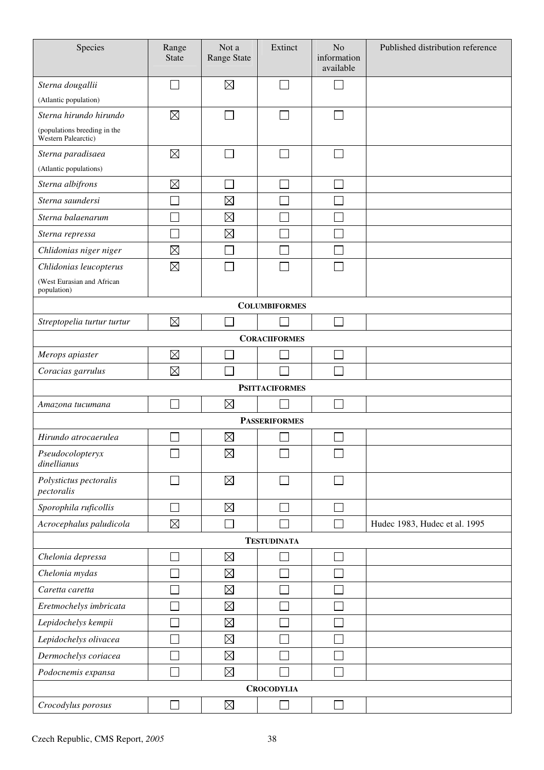| Species                                             | Range<br><b>State</b>       | Not a<br>Range State | Extinct               | N <sub>o</sub><br>information<br>available | Published distribution reference |
|-----------------------------------------------------|-----------------------------|----------------------|-----------------------|--------------------------------------------|----------------------------------|
| Sterna dougallii                                    | $\mathcal{L}_{\mathcal{A}}$ | $\boxtimes$          |                       | $\sim$                                     |                                  |
| (Atlantic population)                               |                             |                      |                       |                                            |                                  |
| Sterna hirundo hirundo                              | $\boxtimes$                 |                      |                       |                                            |                                  |
| (populations breeding in the<br>Western Palearctic) |                             |                      |                       |                                            |                                  |
| Sterna paradisaea                                   | $\boxtimes$                 |                      |                       | $\Box$                                     |                                  |
| (Atlantic populations)                              |                             |                      |                       |                                            |                                  |
| Sterna albifrons                                    | $\boxtimes$                 |                      |                       |                                            |                                  |
| Sterna saundersi                                    |                             | $\boxtimes$          |                       |                                            |                                  |
| Sterna balaenarum                                   |                             | $\boxtimes$          |                       |                                            |                                  |
| Sterna repressa                                     |                             | $\boxtimes$          |                       |                                            |                                  |
| Chlidonias niger niger                              | $\boxtimes$                 |                      |                       |                                            |                                  |
| Chlidonias leucopterus                              | $\boxtimes$                 |                      |                       |                                            |                                  |
| (West Eurasian and African<br>population)           |                             |                      |                       |                                            |                                  |
|                                                     |                             |                      | <b>COLUMBIFORMES</b>  |                                            |                                  |
| Streptopelia turtur turtur                          | $\boxtimes$                 |                      |                       | $\sim$                                     |                                  |
|                                                     |                             |                      | <b>CORACIIFORMES</b>  |                                            |                                  |
| Merops apiaster                                     | $\boxtimes$                 |                      |                       |                                            |                                  |
| Coracias garrulus                                   | $\boxtimes$                 |                      |                       |                                            |                                  |
|                                                     |                             |                      | <b>PSITTACIFORMES</b> |                                            |                                  |
| Amazona tucumana                                    | $\sim$                      | $\boxtimes$          |                       |                                            |                                  |
|                                                     |                             |                      | <b>PASSERIFORMES</b>  |                                            |                                  |
| Hirundo atrocaerulea                                |                             | $\boxtimes$          |                       |                                            |                                  |
| Pseudocolopteryx<br>dinellianus                     |                             | $\boxtimes$          |                       |                                            |                                  |
| Polystictus pectoralis<br>pectoralis                |                             | $\boxtimes$          |                       |                                            |                                  |
| Sporophila ruficollis                               | $\Box$                      | $\boxtimes$          |                       | $\sim$                                     |                                  |
| Acrocephalus paludicola                             | $\boxtimes$                 |                      |                       | Ξ                                          | Hudec 1983, Hudec et al. 1995    |
| <b>TESTUDINATA</b>                                  |                             |                      |                       |                                            |                                  |
| Chelonia depressa                                   | $\mathcal{L}_{\mathcal{A}}$ | $\boxtimes$          |                       | $\sim$                                     |                                  |
| Chelonia mydas                                      | h.                          | $\boxtimes$          |                       |                                            |                                  |
| Caretta caretta                                     |                             | $\boxtimes$          |                       |                                            |                                  |
| Eretmochelys imbricata                              | Г                           | $\boxtimes$          |                       |                                            |                                  |
| Lepidochelys kempii                                 |                             | $\boxtimes$          |                       |                                            |                                  |
| Lepidochelys olivacea                               | Г                           | $\boxtimes$          |                       |                                            |                                  |
| Dermochelys coriacea                                |                             | $\boxtimes$          |                       |                                            |                                  |
| Podocnemis expansa                                  | $\Box$                      | $\boxtimes$          |                       | $\mathbb{R}^n$                             |                                  |
| <b>CROCODYLIA</b>                                   |                             |                      |                       |                                            |                                  |
| Crocodylus porosus                                  |                             | $\boxtimes$          |                       | $\mathcal{L}_{\mathcal{A}}$                |                                  |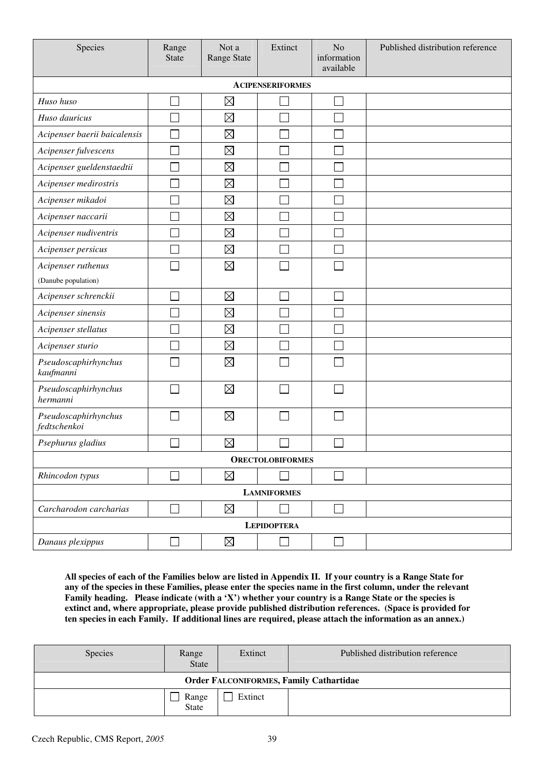| Species                              | Range<br><b>State</b>       | Not a<br><b>Range State</b> | Extinct                 | N <sub>o</sub><br>information<br>available | Published distribution reference |  |
|--------------------------------------|-----------------------------|-----------------------------|-------------------------|--------------------------------------------|----------------------------------|--|
|                                      |                             |                             | <b>ACIPENSERIFORMES</b> |                                            |                                  |  |
| Huso huso                            |                             | $\boxtimes$                 |                         |                                            |                                  |  |
| Huso dauricus                        |                             | $\boxtimes$                 |                         |                                            |                                  |  |
| Acipenser baerii baicalensis         |                             | $\boxtimes$                 |                         |                                            |                                  |  |
| Acipenser fulvescens                 |                             | $\boxtimes$                 |                         |                                            |                                  |  |
| Acipenser gueldenstaedtii            |                             | $\boxtimes$                 |                         |                                            |                                  |  |
| Acipenser medirostris                |                             | $\boxtimes$                 |                         |                                            |                                  |  |
| Acipenser mikadoi                    |                             | $\boxtimes$                 |                         |                                            |                                  |  |
| Acipenser naccarii                   |                             | $\boxtimes$                 |                         |                                            |                                  |  |
| Acipenser nudiventris                |                             | $\boxtimes$                 |                         |                                            |                                  |  |
| Acipenser persicus                   |                             | $\boxtimes$                 |                         |                                            |                                  |  |
| Acipenser ruthenus                   |                             | $\boxtimes$                 |                         |                                            |                                  |  |
| (Danube population)                  |                             |                             |                         |                                            |                                  |  |
| Acipenser schrenckii                 |                             | $\boxtimes$                 | Ξ                       | and a                                      |                                  |  |
| Acipenser sinensis                   |                             | $\boxtimes$                 |                         |                                            |                                  |  |
| Acipenser stellatus                  |                             | $\boxtimes$                 |                         |                                            |                                  |  |
| Acipenser sturio                     |                             | $\boxtimes$                 |                         |                                            |                                  |  |
| Pseudoscaphirhynchus<br>kaufmanni    |                             | $\boxtimes$                 |                         |                                            |                                  |  |
| Pseudoscaphirhynchus<br>hermanni     |                             | $\boxtimes$                 |                         |                                            |                                  |  |
| Pseudoscaphirhynchus<br>fedtschenkoi |                             | $\boxtimes$                 |                         |                                            |                                  |  |
| Psephurus gladius                    |                             | $\boxtimes$                 |                         |                                            |                                  |  |
| <b>ORECTOLOBIFORMES</b>              |                             |                             |                         |                                            |                                  |  |
| Rhincodon typus                      |                             | $\boxtimes$                 |                         | $\Box$                                     |                                  |  |
| <b>LAMNIFORMES</b>                   |                             |                             |                         |                                            |                                  |  |
| Carcharodon carcharias               | $\mathcal{L}_{\mathcal{A}}$ | $\boxtimes$                 |                         | $\Box$                                     |                                  |  |
| <b>LEPIDOPTERA</b>                   |                             |                             |                         |                                            |                                  |  |
| Danaus plexippus                     |                             | $\boxtimes$                 |                         | $\Box$                                     |                                  |  |

**All species of each of the Families below are listed in Appendix II. If your country is a Range State for any of the species in these Families, please enter the species name in the first column, under the relevant Family heading. Please indicate (with a 'X') whether your country is a Range State or the species is extinct and, where appropriate, please provide published distribution references. (Space is provided for ten species in each Family. If additional lines are required, please attach the information as an annex.)** 

| <b>Species</b>                                 | Range<br><b>State</b> | Extinct | Published distribution reference |  |  |
|------------------------------------------------|-----------------------|---------|----------------------------------|--|--|
| <b>Order FALCONIFORMES, Family Cathartidae</b> |                       |         |                                  |  |  |
|                                                | Range<br>State        | Extinct |                                  |  |  |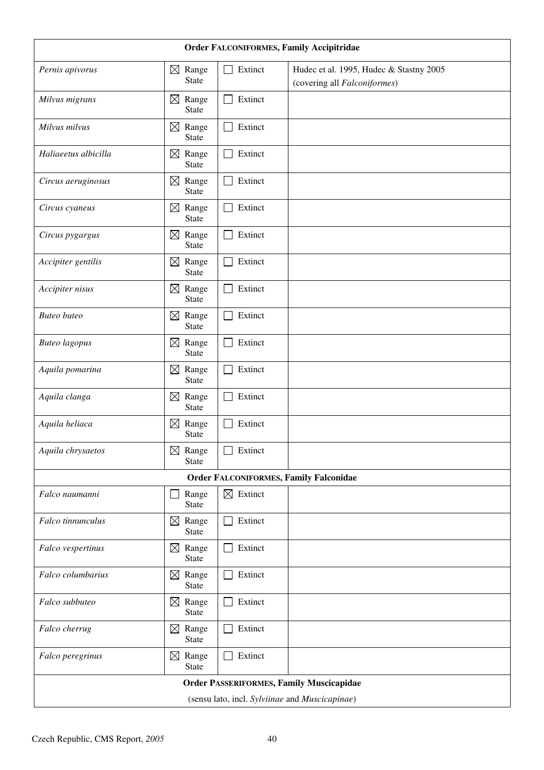| Order FALCONIFORMES, Family Accipitridae        |                                      |                         |                                                                         |  |  |
|-------------------------------------------------|--------------------------------------|-------------------------|-------------------------------------------------------------------------|--|--|
| Pernis apivorus                                 | $\boxtimes$<br>Range<br><b>State</b> | Extinct                 | Hudec et al. 1995, Hudec & Stastny 2005<br>(covering all Falconiformes) |  |  |
| Milvus migrans                                  | $\boxtimes$<br>Range<br><b>State</b> | Extinct<br>$\mathsf{L}$ |                                                                         |  |  |
| Milvus milvus                                   | $\boxtimes$<br>Range<br><b>State</b> | Extinct                 |                                                                         |  |  |
| Haliaeetus albicilla                            | Range<br>$\boxtimes$<br><b>State</b> | Extinct                 |                                                                         |  |  |
| Circus aeruginosus                              | $\boxtimes$<br>Range<br><b>State</b> | Extinct                 |                                                                         |  |  |
| Circus cyaneus                                  | $\boxtimes$<br>Range<br><b>State</b> | Extinct                 |                                                                         |  |  |
| Circus pygargus                                 | $\boxtimes$ Range<br><b>State</b>    | Extinct                 |                                                                         |  |  |
| Accipiter gentilis                              | Range<br>$\boxtimes$<br><b>State</b> | Extinct                 |                                                                         |  |  |
| Accipiter nisus                                 | $\boxtimes$<br>Range<br><b>State</b> | Extinct                 |                                                                         |  |  |
| <b>Buteo</b> buteo                              | $\boxtimes$<br>Range<br><b>State</b> | Extinct                 |                                                                         |  |  |
| <b>Buteo</b> lagopus                            | Range<br>$\boxtimes$<br><b>State</b> | Extinct                 |                                                                         |  |  |
| Aquila pomarina                                 | $\boxtimes$<br>Range<br><b>State</b> | Extinct                 |                                                                         |  |  |
| Aquila clanga                                   | $\boxtimes$<br>Range<br><b>State</b> | Extinct                 |                                                                         |  |  |
| Aquila heliaca                                  | $\boxtimes$<br>Range<br><b>State</b> | Extinct                 |                                                                         |  |  |
| Aquila chrysaetos                               | $\boxtimes$ Range<br><b>State</b>    | Extinct                 |                                                                         |  |  |
|                                                 |                                      |                         | <b>Order FALCONIFORMES, Family Falconidae</b>                           |  |  |
| Falco naumanni                                  | Range<br>State                       | $\boxtimes$ Extinct     |                                                                         |  |  |
| Falco tinnunculus                               | $\boxtimes$<br>Range<br>State        | Extinct                 |                                                                         |  |  |
| Falco vespertinus                               | $\boxtimes$ Range<br><b>State</b>    | Extinct                 |                                                                         |  |  |
| Falco columbarius                               | $\boxtimes$ Range<br><b>State</b>    | Extinct                 |                                                                         |  |  |
| Falco subbuteo                                  | $\boxtimes$ Range<br><b>State</b>    | Extinct                 |                                                                         |  |  |
| Falco cherrug                                   | $\boxtimes$<br>Range<br><b>State</b> | Extinct                 |                                                                         |  |  |
| Falco peregrinus                                | $\boxtimes$<br>Range<br><b>State</b> | Extinct                 |                                                                         |  |  |
| <b>Order PASSERIFORMES, Family Muscicapidae</b> |                                      |                         |                                                                         |  |  |
| (sensu lato, incl. Sylviinae and Muscicapinae)  |                                      |                         |                                                                         |  |  |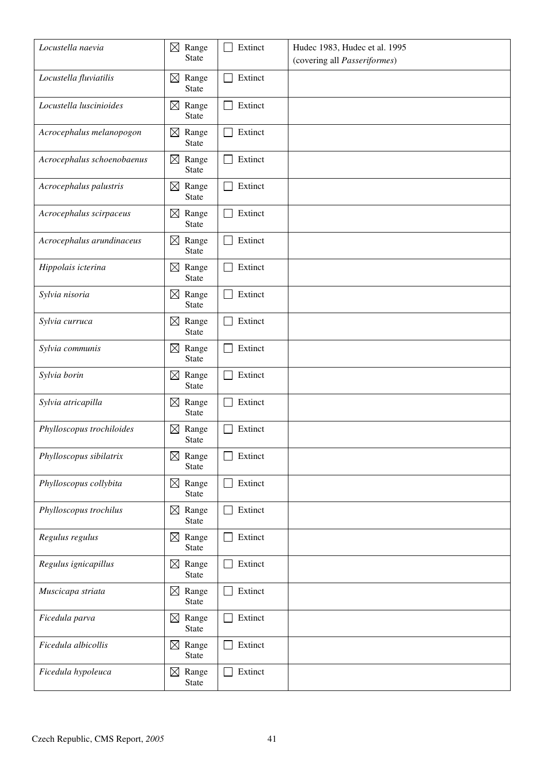| Locustella naevia          | $\boxtimes$<br>Range<br><b>State</b> | Extinct                 | Hudec 1983, Hudec et al. 1995<br>(covering all Passeriformes) |
|----------------------------|--------------------------------------|-------------------------|---------------------------------------------------------------|
| Locustella fluviatilis     | Range<br>$\boxtimes$<br><b>State</b> | Extinct<br>$\mathbf{L}$ |                                                               |
| Locustella luscinioides    | Range<br>$\boxtimes$<br><b>State</b> | Extinct                 |                                                               |
| Acrocephalus melanopogon   | $\boxtimes$<br>Range<br><b>State</b> | Extinct<br>$\mathbf{I}$ |                                                               |
| Acrocephalus schoenobaenus | $\boxtimes$<br>Range<br><b>State</b> | Extinct                 |                                                               |
| Acrocephalus palustris     | Range<br>$\boxtimes$<br><b>State</b> | Extinct                 |                                                               |
| Acrocephalus scirpaceus    | $\boxtimes$ Range<br><b>State</b>    | Extinct                 |                                                               |
| Acrocephalus arundinaceus  | $\boxtimes$<br>Range<br><b>State</b> | Extinct                 |                                                               |
| Hippolais icterina         | $\boxtimes$ Range<br><b>State</b>    | Extinct                 |                                                               |
| Sylvia nisoria             | Range<br>$\boxtimes$<br>State        | Extinct                 |                                                               |
| Sylvia curruca             | $\boxtimes$<br>Range<br><b>State</b> | Extinct                 |                                                               |
| Sylvia communis            | $\boxtimes$<br>Range<br><b>State</b> | Extinct                 |                                                               |
| Sylvia borin               | Range<br>$\boxtimes$<br><b>State</b> | Extinct                 |                                                               |
| Sylvia atricapilla         | $\boxtimes$<br>Range<br><b>State</b> | Extinct                 |                                                               |
| Phylloscopus trochiloides  | $\boxtimes$<br>Range<br><b>State</b> | Extinct                 |                                                               |
| Phylloscopus sibilatrix    | Range<br>$\boxtimes$<br><b>State</b> | Extinct                 |                                                               |
| Phylloscopus collybita     | $\boxtimes$<br>Range<br>State        | Extinct                 |                                                               |
| Phylloscopus trochilus     | Range<br>$\boxtimes$<br>State        | Extinct                 |                                                               |
| Regulus regulus            | $\boxtimes$ Range<br><b>State</b>    | Extinct                 |                                                               |
| Regulus ignicapillus       | $\boxtimes$ Range<br>State           | Extinct                 |                                                               |
| Muscicapa striata          | $\boxtimes$ Range<br>State           | Extinct                 |                                                               |
| Ficedula parva             | Range<br>$\boxtimes$<br><b>State</b> | Extinct                 |                                                               |
| Ficedula albicollis        | $\boxtimes$<br>Range<br><b>State</b> | Extinct                 |                                                               |
| Ficedula hypoleuca         | Range<br>$\boxtimes$<br><b>State</b> | Extinct                 |                                                               |